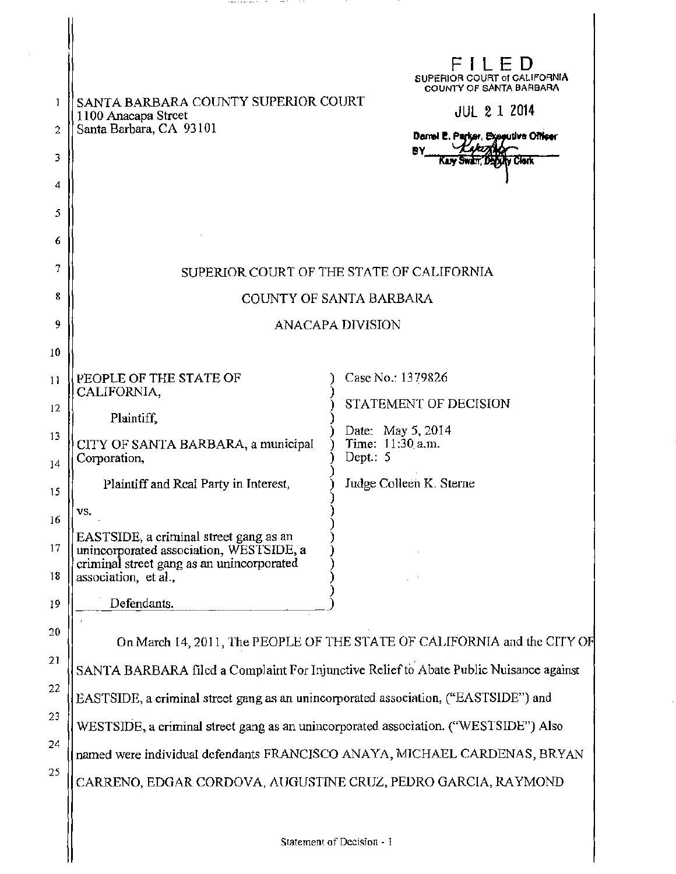| 1<br>2<br>3<br>4<br>5<br>6 | SANTA BARBARA COUNTY SUPERIOR COURT<br>1100 Anacapa Street<br>Santa Barbara, CA 93101                                          | FILED<br>SUPERIOR COURT of CALIFORNIA<br><b>COUNTY OF SANTA BARBARA</b><br><b>JUL 2 1 2014</b><br>Damel E. Parker, Executive Officer<br>ĐΥ |
|----------------------------|--------------------------------------------------------------------------------------------------------------------------------|--------------------------------------------------------------------------------------------------------------------------------------------|
| 7                          | SUPERIOR COURT OF THE STATE OF CALIFORNIA                                                                                      |                                                                                                                                            |
| 8                          | COUNTY OF SANTA BARBARA                                                                                                        |                                                                                                                                            |
| 9                          | <b>ANACAPA DIVISION</b>                                                                                                        |                                                                                                                                            |
| 10                         |                                                                                                                                |                                                                                                                                            |
| 11                         | PEOPLE OF THE STATE OF<br>CALIFORNIA,                                                                                          | Case No.: 1379826                                                                                                                          |
| 12                         | Plaintiff,                                                                                                                     | STATEMENT OF DECISION                                                                                                                      |
| 13<br>14                   | CITY OF SANTA BARBARA, a municipal<br>Corporation,                                                                             | Date: May 5, 2014<br>Time: 11:30 a.m.<br>Dept.: 5                                                                                          |
| 15                         | Plaintiff and Real Party in Interest,                                                                                          | Judge Colleen K. Sterne                                                                                                                    |
| 16                         | VS.                                                                                                                            |                                                                                                                                            |
| 17                         | EASTSIDE, a criminal street gang as an<br>unincorporated association, WESTSIDE, a<br>criminal street gang as an unincorporated |                                                                                                                                            |
| 18                         | association, et al.,                                                                                                           |                                                                                                                                            |
| 19                         | Defendants.                                                                                                                    |                                                                                                                                            |
| 20                         | On March 14, 2011, The PEOPLE OF THE STATE OF CALIFORNIA and the CITY OF                                                       |                                                                                                                                            |
| 21                         | SANTA BARBARA filed a Complaint For Injunctive Relief to Abate Public Nuisance against                                         |                                                                                                                                            |
| 22                         | EASTSIDE, a criminal street gang as an unincorporated association, ("EASTSIDE") and                                            |                                                                                                                                            |
| 23                         | WESTSIDE, a criminal street gang as an unincorporated association. ("WESTSIDE") Also                                           |                                                                                                                                            |
| 24                         | named were individual defendants FRANCISCO ANAYA, MICHAEL CARDENAS, BRYAN                                                      |                                                                                                                                            |
| 25                         | CARRENO, EDGAR CORDOVA, AUGUSTINE CRUZ, PEDRO GARCIA, RAYMOND                                                                  |                                                                                                                                            |
|                            |                                                                                                                                |                                                                                                                                            |

and the contract of the contract of the

 $\sim$   $\sim$ 

 $\bar{z}$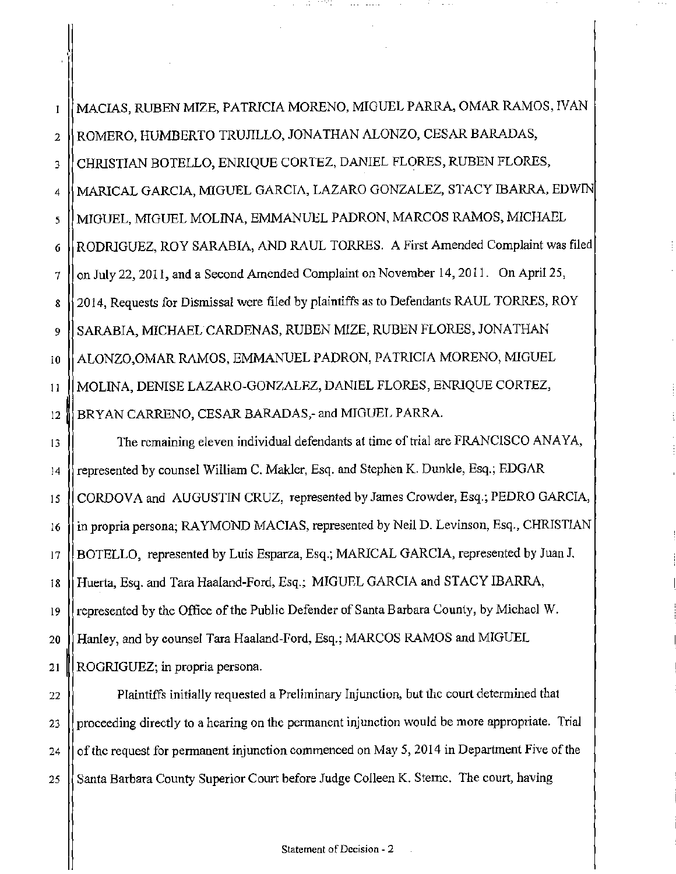MACIAS, RUBEN MIZE, PATRICIA MORENO, MIGUEL PARRA, OMAR RAMOS, IV AN  $\mathbf{I}$ 2 ROMERO, HUMBERTO TRUJILLO, JONATHAN ALONZO, CESAR BARADAS, 3 CHRISTIAN BOTELLO, ENRIQUE CORTEZ, DANIEL FLORES, RUBEN FLORES, 4 MARICAL GARCIA, MIGUEL GARCIA, LAZARO GONZALEZ, STACY IBARRA, EDWIN 5 || MIGUEL, MIGUEL MOLINA, EMMANUEL PADRON, MARCOS RAMOS, MICHAEL 6 |RODRIGUEZ, ROY SARABIA, AND RAUL TORRES. A First Amended Complaint was filed 7 | on July 22, 2011, and a Second Amended Complaint on November 14, 2011. On April 25, 8 2014, Requests for Dismissal were filed by plaintiffs as to Defendants RAUL TORRES, ROY 9 || SARABIA, MICHAEL CARDENAS, RUBEN MIZE, RUBEN FLORES, JONATHAN 10 ALONZO,OMAR RAMOS, EMMANUEL PADRON, PATRICIA MORENO, MIGUEL 11 MOLINA, DENISE LAZARO-GONZALFZ, DANIEL FLORES, ENRIQUE CORTEZ, 12 BRYAN CARRENO, CESAR BARADAS,- and MIGUEL PARRA.

13 || The remaining eleven individual defendants at time of trial are FRANCISCO ANAYA, **!4 represented by counsel William C. Makler, Esq. and Stephen K. Dunkle, Esq.; EDGAR**  15 CORDOVA and AUGUSTIN CRUZ, represented by James Crowder, Esq.; PEDRO GARCIA, 16 in propria persona; RAYMOND MACIAS, represented by Neil D. Levinson, Esq., CHRISTIAN 17 BOTELLO, represented by Luis Esparza, Esq.; MARlCAL GARCIA, represented by Juan J. 18 Huerta, Esq. and Tara Haaland-Ford, Esq.; MIGUEL GARCIA and STACY IBARRA, **19 represented by the Office of the Public Defender of Santa Barbara County, by Michael W.**  20 Hanley, and by counsel Tara Haaland-Ford, Esq.; MARCOS RAMOS and MIGUEL **21 ROGRIGUEZ; in propria persona.** 

**22 Plaintiffs initially requested a Preliminary Injunction, but the court determined that**  23 **proceeding directly to a hearing on the permanent injunction would be more appropriate.** Trial 24 | of the request for permanent injunction commenced on May 5, 2014 in Department Five of the 25 **Santa Barbara County Superior Court before Judge Colleen K. Sterne. The court, having**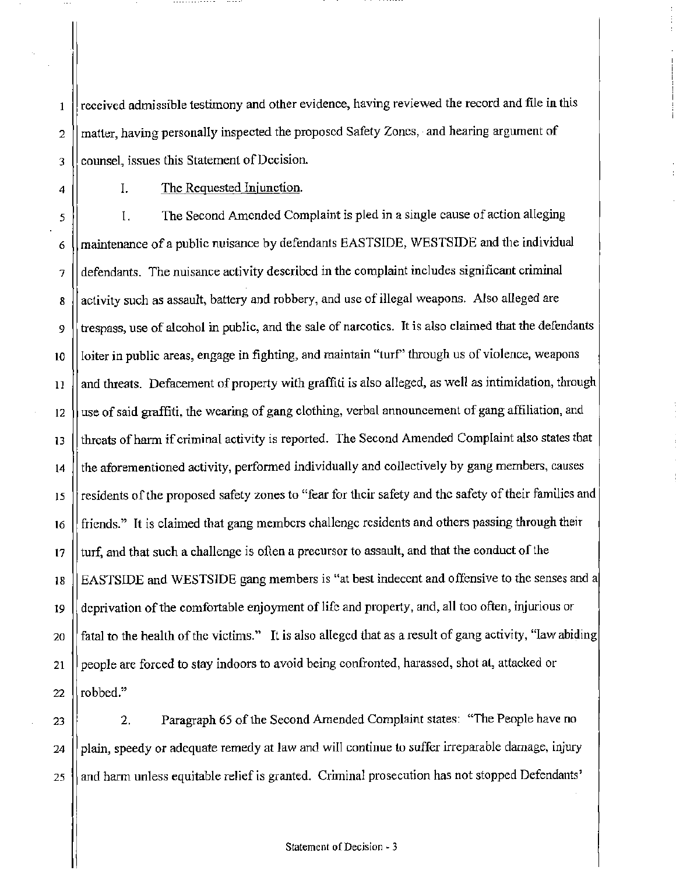received admissible testimony and other evidence, having reviewed the record and file in this 2 || matter, having personally inspected the proposed Safety Zones, and hearing argument of 3 [counsel, issues this Statement of Decision.

 $\mathbf{1}$ 

4 | I. The Requested Injunction.

*s* I. The Second Amended Complaint is pied in a single cause of action alleging 6 (maintenance of a public nuisance by defendants EASTSIDE, WESTSIDE and the individual 7 defendants. The nuisance activity described in the complaint includes significant criminal 8 | activity such as assault, battery and robbery, and use of illegal weapons. Also alleged are  $9$  ||trespass, use of alcohol in public, and the sale of narcotics. It is also claimed that the defendants 10 | loiter in public areas, engage in fighting, and maintain "turf" through us of violence, weapons  $\vert$  l and threats. Defacement of property with graffiti is also alleged, as well as intimidation, through 12 | use of said graffiti, the wearing of gang clothing, verbal announcement of gang affiliation, and 13 threats of harm if criminal activity is reported. The Second Amended Complaint also states that 14 | the aforementioned activity, performed individually and collectively by gang members, causes 15 || residents of the proposed safety zones to "fear for their safety and the safety of their families and 16 **f** friends." It is claimed that gang members challenge residents and others passing through their  $17$   $\parallel$  turf, and that such a challenge is often a precursor to assault, and that the conduct of the 18 | EASTSIDE and WESTSIDE gang members is "at best indecent and offensive to the senses and a 19 deprivation of the comfortable enjoyment of life and property, and, all too often, injurious or 20 || fatal to the health of the victims." It is also alleged that as a result of gang activity, "law abiding 21 | people are forced to stay indoors to avoid being confronted, harassed, shot at, attacked or 22  $\vert\vert$  robbed."

23 | 23 | 23 Paragraph 65 of the Second Amended Complaint states: "The People have no  $24$  ||plain, speedy or adequate remedy at law and will continue to suffer irreparable damage, injury  $25$   $\parallel$  and harm unless equitable relief is granted. Criminal prosecution has not stopped Defendants'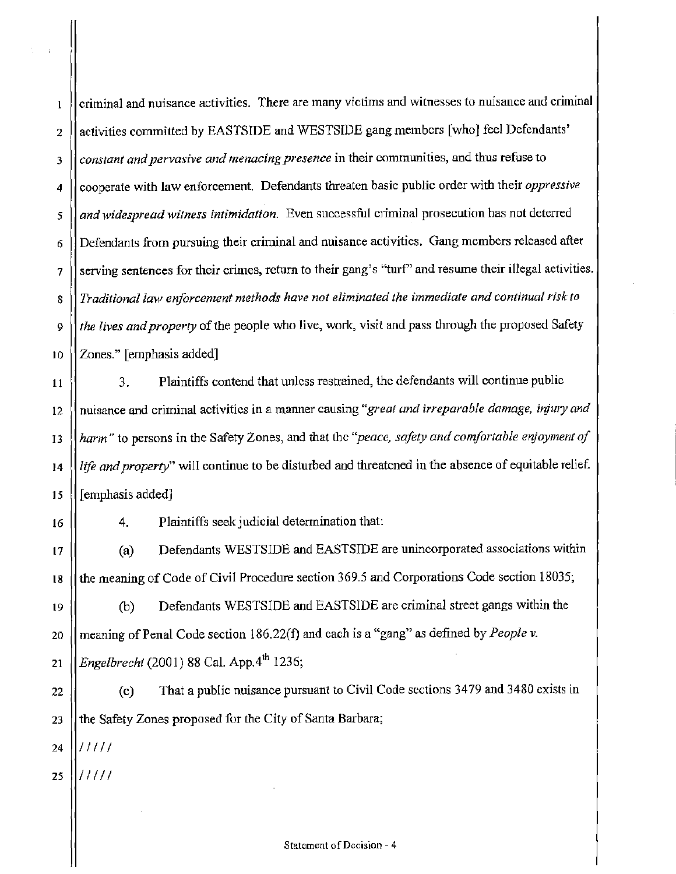criminal and nuisance activities. There are many victims and \vitnesses to nuisance and criminal  $\mathbf 1$ 2 | activities committed by EASTSIDE and WESTSIDE gang members [who] feel Defendants' 3 *constant and pervasive and menacing presence* in their communities, and thus refuse to *4* cooperate with law enforcement. Defendants threaten basic public order with their *oppressive*  5 || and widespread witness intimidation. Even successful criminal prosecution has not deterred  $6$  | Defendants from pursuing their criminal and nuisance activities. Gang members released after 7 || serving sentences for their crimes, return to their gang's "turf" and resume their illegal activities. 8 *Traditional law enforcement methods have not eliminated the immediate and continual risk to*  9 *the lives and property* of the people who live, work, visit and pass through the proposed Safety 10 || Zones." [emphasis added]

 $\begin{bmatrix} 11 \end{bmatrix}$  3. Plaintiffs contend that unless restrained, the defendants will continue public 12 || nuisance and criminal activities in a manner causing "great and irreparable damage, injury and 13 || harm" to persons in the Safety Zones, and that the "*peace, safety and comfortable enjoyment of* 14 *life and property"* will continue to be disturbed and threatened in the absence of equitable relief. 15 [emphasis added]

16

4. Plaintiffs seek judicial determination that:

17 (a) Defendants WESTSIDE and EASTSIDE are unincorporated associations within 18 the meaning of Code of Civil Procedure section 369.5 and Corporations Code section 18035;

19 (b) Defendants WESTSIDE and EASTSIDE are criminal street gangs within the 20 || meaning of Penal Code section 186.22(f) and each is a "gang" as defined by *People v.* 21 *Engelbrecht* (2001) 88 Cal. App.4" 1236;

22 (c) That a public nuisance pursuant to Civil Code sections 3479 and 3480 exists in 23  $\parallel$  the Safety Zones proposed for the City of Santa Barbara;

24 /////

 $25$   $\frac{1}{11111}$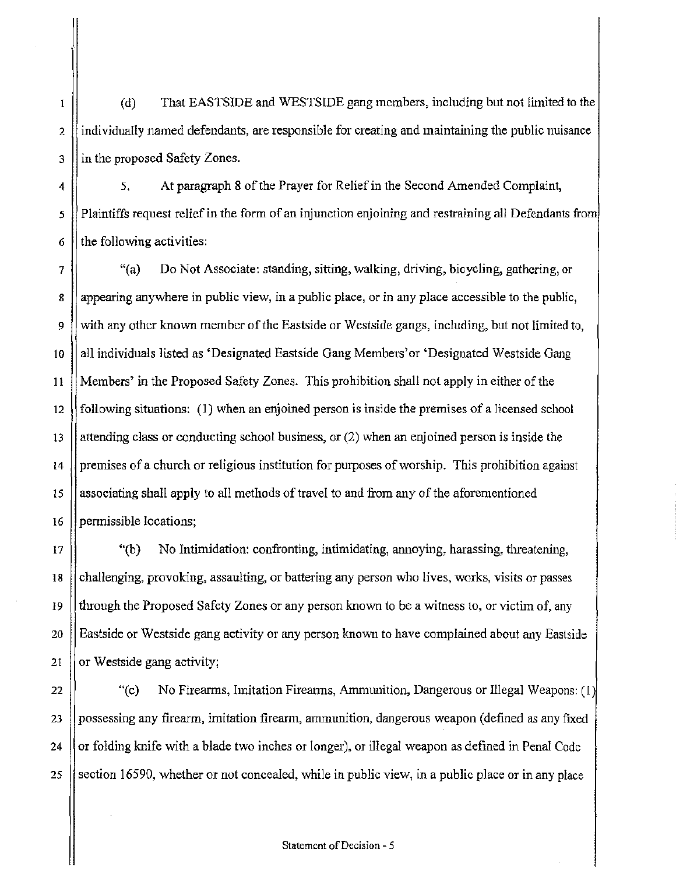(d) That EASTSIDE and WESTSIDE gang members, including but not limited to the  $\mathbf I$ 2 is individually named defendants, are responsible for creating and maintaining the public nuisance  $3$  || in the proposed Safety Zones.

4 5. At paragraph 8 of the Prayer for Relief in the Second Amended Complaint, *5* Plaintiffs request relief in the form of an injunction enjoining and restraining all Defendants from  $6 \parallel$  the following activities:

7 (Ca) Do Not Associate: standing, sitting, walking, driving, bicycling, gathering, or 8 appearing anywhere in public view, in a public place, or in any place accessible to the public, 9 | with any other known member of the Eastside or Westside gangs, including, but not limited to, 10 | all individuals listed as 'Designated Eastside Gang Members' or 'Designated Westside Gang 11 Members' in the Proposed Safety Zones. This prohibition shall not apply in either of the 12  $\parallel$  following situations: (1) when an enjoined person is inside the premises of a licensed school 13 attending class or conducting school business, or  $(2)$  when an enjoined person is inside the 14 premises of a church or religious institution for purposes of worship. This prohibition against 15 associating shall apply to all methods of travel to and from any of the aforementioned 16 permissible locations;

(17 \) (17 \) Wo Intimidation: confronting, intimidating, annoying, harassing, threatening, 18 challenging, provoking, assaulting, or battering any person who lives, works, visits or passes 19  $\vert$  through the Proposed Safety Zones or any person known to be a witness to, or victim of, any 20 Eastside or Westside gang activity or any person known to have complained about any Eastside 21  $\parallel$  or Westside gang activity;

22  $\parallel$  "(c) No Firearms, Imitation Firearms, Ammunition, Dangerous or Illegal Weapons: (1) 23 | possessing any firearm, imitation firearm, ammunition, dangerous weapon (defined as any fixed 24  $\parallel$  or folding knife with a blade two inches or longer), or illegal weapon as defined in Penal Code 25 Section 16590, whether or not concealed, while in public view, in a public place or in any place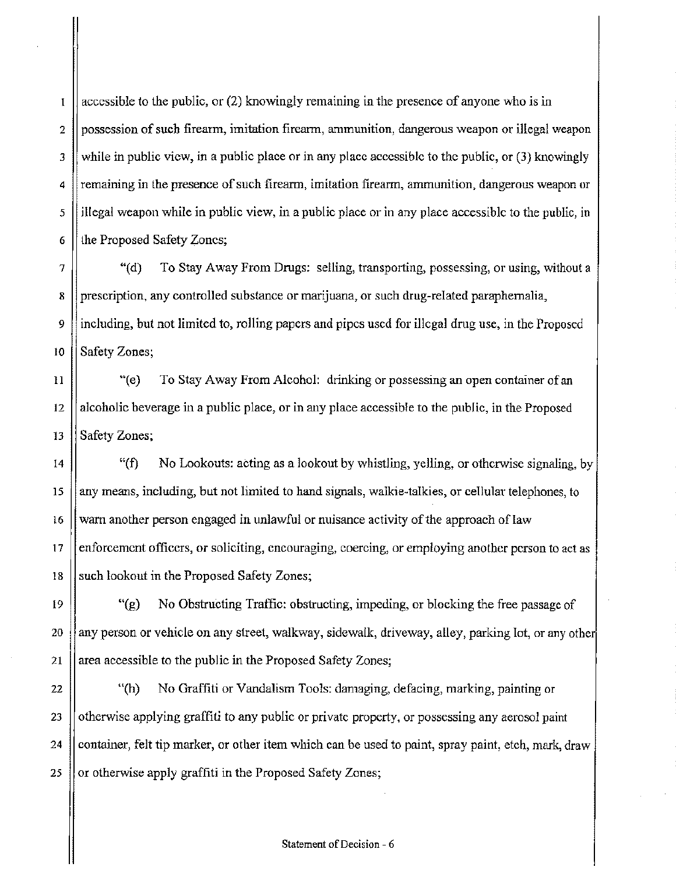accessible to the public, or (2) knowingly remaining in the presence of anyone who is in  $\bf I$  $2 \parallel$  possession of such firearm, imitation firearm, ammunition, dangerous weapon or illegal weapon  $3$  while in public view, in a public place or in any place accessible to the public, or (3) knowingly  $4 \parallel$  remaining in the presence of such firearm, imitation firearm, ammunition, dangerous weapon or  $5 \parallel$  illegal weapon while in public view, in a public place or in any place accessible to the public, in 6 The Proposed Safety Zones;

 $7$   $\parallel$  (d) To Stay Away From Drugs: selling, transporting, possessing, or using, without a 8 prescription, any controlled substance or marijuana, or such drug-related paraphernalia, 9 including, but not limited to, rolling papers and pipes used for illegal drug use, in the Proposed 10 || Safety Zones;

11 | "(e) To Stay Away From Alcohol: drinking or possessing an open container of an  $12$  || alcoholic beverage in a public place, or in any place accessible to the public, in the Proposed 13 Safety Zones;

14  $\parallel$  "(f) No Lookouts: acting as a lookout by whistling, yelling, or otherwise signaling, by 15 || any means, including, but not limited to hand signals, walkie-talkies, or cellular telephones, to 16 warn another person engaged in unlawful or nuisance activity of the approach of law  $17$  | enforcement officers, or soliciting, encouraging, coercing, or employing another person to act as 18  $\vert$  such lookout in the Proposed Safety Zones;

19  $\parallel$  "(g) No Obstructing Traffic: obstructing, impeding, or blocking the free passage of 20 any person or vehicle on any street, walkway, sidewalk, driveway, alley, parking lot, or any other 21  $\parallel$  area accessible to the public in the Proposed Safety Zones;

22  $\vert$  (h) No Graffiti or Vandalism Tools: damaging, defacing, marking, painting or 23 | otherwise applying graffiti to any public or private property, or possessing any aerosol paint 24 | container, felt tip marker, or other item which can be used to paint, spray paint, etch, mark, draw 25 | or otherwise apply graffiti in the Proposed Safety Zones;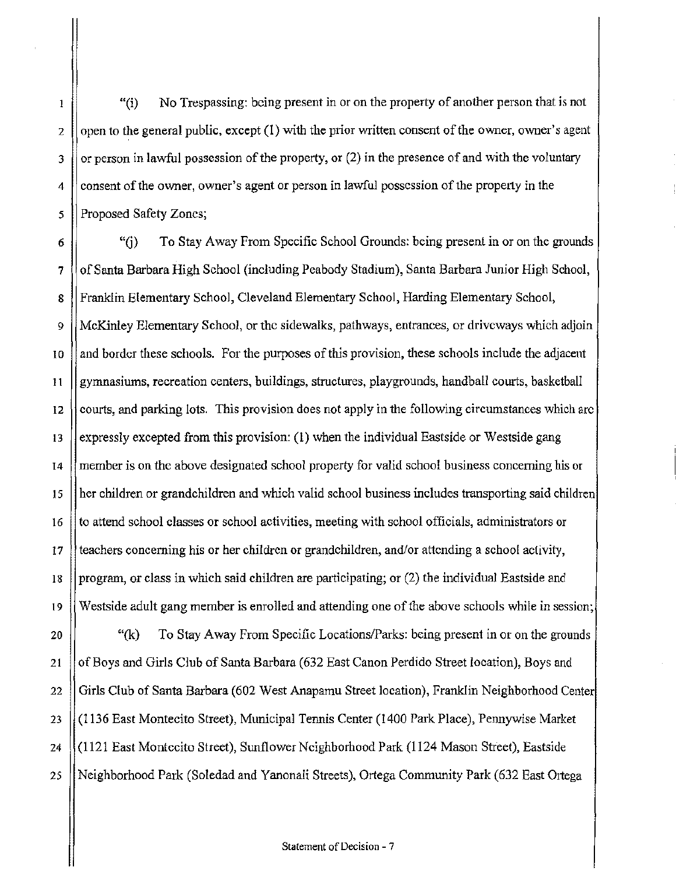$"(i)$  No Trespassing: being present in or on the property of another person that is not 2 | open to the general public, except (1) with the prior written consent of the owner, owner's agent  $3$  || or person in lawful possession of the property, or (2) in the presence of and with the voluntary  $4 \parallel$  consent of the owner, owner's agent or person in lawful possession of the property in the 5 || Proposed Safety Zones;

 $\mathbf{1}$ 

6  $\parallel$  "(i) To Stay Away From Specific School Grounds: being present in or on the grounds 7 (of Santa Barbara High School (including Peabody Stadium), Santa Barbara Junior High School, 8 || Franklin Elementary School, Cleveland Elementary School, Harding Elementary School, *9* McKinley Elementary School, or the sidewalks, pathways, entrances, or driveways which adjoin  $10$  and border these schools. For the purposes of this provision, these schools include the adjacent 11 gymnasiums, recreation centers, buildings, structures, playgrounds, handball courts, basketball 12  $\parallel$  courts, and parking lots. This provision does not apply in the following circumstances which arc 13 Sexpressly excepted from this provision: (1) when the individual Eastside or Westside gang 14 member is on the above designated school property for valid school business concerning his or 15 her children or grandchildren and which valid school business includes transporting said children 16 to attend school classes or school activities, meeting with school officials, administrators or 17 teachers concerning his or her children or grandchildren, and/or attending a school activity, 18 | program, or class in which said children are participating; or  $(2)$  the individual Eastside and 19 Westside adult gang member is enrolled and attending one of the above schools while in session;

20  $\left| \right|$  "(k) To Stay Away From Specific Locations/Parks: being present in or on the grounds 21 | of Boys and Girls Club of Santa Barbara (632 East Canon Perdido Street location), Boys and 22 Girls Club of Santa Barbara (602 West Anapamu Street location), Franklin Neighborhood Center 23 (1136 East Montecito Street), Municipal Tennis Center (1400 Park Place), Pennywise Market 24 (1121 East Montccito Street), Sunflower Neighborhood Park (1124 Mason Street), Eastside 25 Neighborhood Park (Soledad and Yanonali Streets), Ortega Community Park (632 East 01tega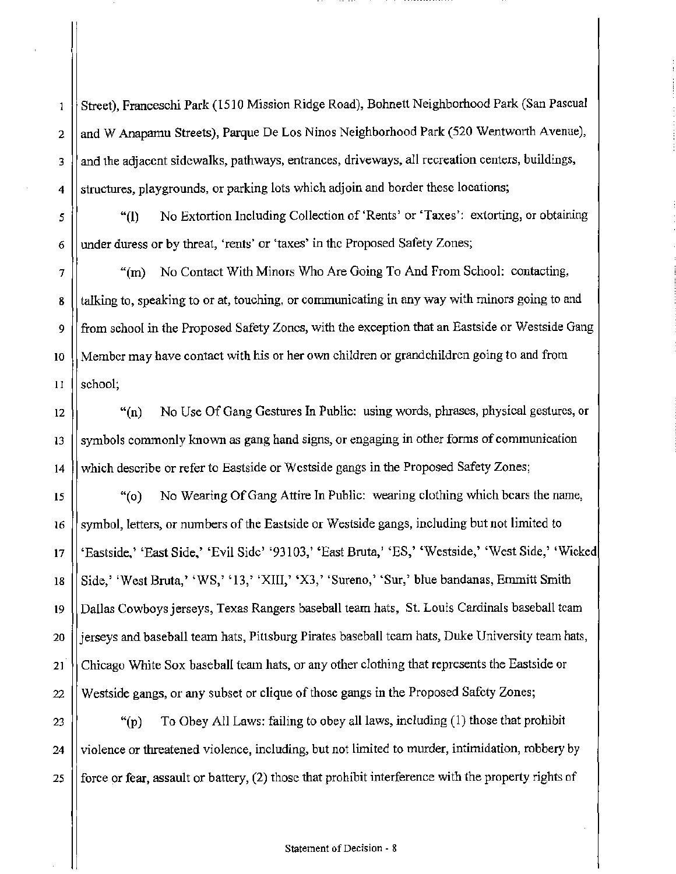Street), Franceschi Park (1510 Mission Ridge Road), Bohnett Neighborhood Park (San Pascual 2  $\|\$ and W Anapamu Streets), Parque De Los Ninos Neighborhood Park (520 Wentworth Avenue), 3 || and the adjacent sidewalks, pathways, entrances, driveways, all recreation centers, buildings,  $4$  || structures, playgrounds, or parking lots which adjoin and border these locations;

*5* "(l) No Extortion Including Collection of 'Rents' or 'Taxes': extorting, or obtaining  $6 \parallel$  under duress or by threat, 'rents' or 'taxes' in the Proposed Safety Zones;

7 | "(m) No Contact With Minors Who Are Going To And From School: contacting, 8 | talking to, speaking to or at, touching, or communicating in any way with minors going to and 9 from school in the Proposed Safety Zones, with the exception that an Eastside or Westside Gang 10 Member may have contact with his or her own children or grandchildren going to and from 11 Il school;

12 | "(n) No Use Of Gang Gestures In Public: using words, phrases, physical gestures, or  $13$   $\parallel$  symbols commonly known as gang hand signs, or engaging in other forms of communication 14 which describe or refer to Eastside or Westside gangs in the Proposed Safety Zones;

15  $\parallel$  "(o) No Wearing Of Gang Attire In Public: wearing clothing which bears the name, 16 Symbol, letters, or numbers of the Eastside or Westside gangs, including but not limited to 17 || 'Eastside,' 'East Side,' 'Evil Side' '93103,' 'East Bruta,' 'ES,' 'Westside,' 'West Side,' 'Wicked 18 | Side,' 'West Bruta,' 'WS,' '13,' 'XIII,' 'X3,' 'Sureno,' 'Sur,' blue bandanas, Emmitt Smith 19 || Dallas Cowboys jerseys, Texas Rangers baseball team hats, St. Louis Cardinals baseball team 20 || jerseys and baseball team hats, Pittsburg Pirates baseball team hats, Duke University team hats, 21 | Chicago White Sox baseball team hats, or any other clothing that represents the Eastside or 22 Westside gangs, or any subset or clique of those gangs in the Proposed Safety Zones;

23  $\vert$  "(p) To Obey All Laws: failing to obey all laws, including (1) those that prohibit 24 || violence or threatened violence, including, but not limited to murder, intimidation, robbery by 25  $\parallel$  force or fear, assault or battery, (2) those that prohibit interference with the property rights of

 $\mathbf{1}$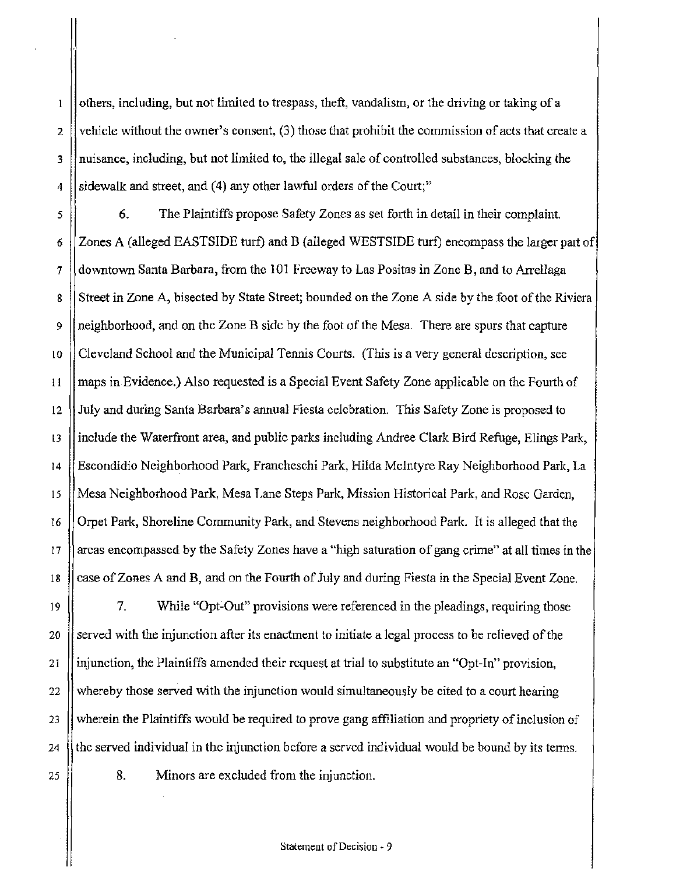$\mathbf{l}$ others, including, but not limited to trespass, theft, vandalism, or the driving or taking of a 2 vehicle without the owner's consent,  $(3)$  those that prohibit the commission of acts that create a 3 || nuisance, including, but not limited to, the illegal sale of controlled substances, blocking the 4 Sidewalk and street, and (4) any other lawful orders of the Court;"

*5* 6. The Plaintiffs propose Safety Zones as set forth in detail in their complaint. 6 Zones A (alleged EASTSIDE turf) and B (alleged WESTSIDE turf) encompass the larger part of 7 (downtown Santa Barbara, from the 101 Freeway to Las Positas in Zone B, and to Arrellaga 8 Street in Zone A, bisected by State Street; bounded on the Zone A side by the foot of the Riviera 9 neighborhood, and on the Zone B side by the foot of the Mesa. There are spurs that capture 10 Cleveland School and the Municipal Tennis Courts. (This is a very general description, see ! I maps in Evidence.) Also requested is a Special Event Safety Zone applicable on the Fourth of 12 July and during Santa Barbara's annual Fiesta celebration. This Safety Zone is proposed to 13 | include the Waterfront area, and public parks including Andree Clark Bird Refuge, Elings Park, 14 Escondidio Neighborhood Park, Francheschi Park, Hilda Mcintyre Ray Neighborhood Park, La 15 Mesa Neighborhood Park, Mesa T,ane Steps Park, Mission Historical Park, and Rose Garden, 16 Orpet Park, Shoreline Community Park, and Stevens neighborhood Park. It is alleged that the 17 areas encompassed by the Safety Zones have a "high saturation of gang crime" at all times in the 18 case of Zones A and B, and on the Fourth of July and during Fiesta in the Special Event Zone.

19 7. While "Opt-Out" provisions were referenced in the pleadings, requiring those 20  $\parallel$  served with the injunction after its enactment to initiate a legal process to be relieved of the 21 | injunction, the Plaintiffs amended their request at trial to substitute an "Opt-In" provision, 22 Whereby those served with the injunction would simultaneously be cited to a court hearing 23 Wherein the Plaintiffs would be required to prove gang affiliation and propriety of inclusion of 24  $\parallel$  the served individual in the injunction before a served individual would be bound by its terms.

25 | 8. Minors are excluded from the injunction.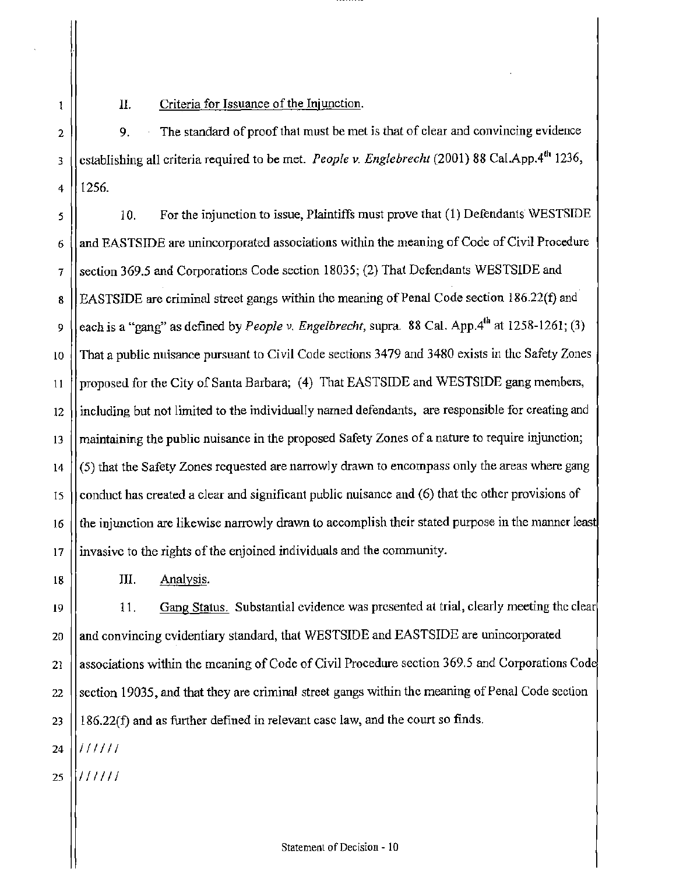II. Criteria for Issuance of the Injunction.

 $2$  | 9. The standard of proof that must be met is that of clear and convincing evidence 3 ( establishing all criteria required to be met. *People v. Englebrecht* (2001) 88 Cal.App.4<sup>th</sup> 1236, 4 1256.

 $\vert$  10. For the injunction to issue, Plaintiffs must prove that (1) Defendants WESTSIDE 6 (and EASTSIDE are unincorporated associations within the meaning of Code of Civil Procedure 7 || section 369.5 and Corporations Code section 18035; (2) That Defendants WESTSIDE and 8 | EASTSIDE are criminal street gangs within the meaning of Penal Code section 186.22(f) and 9 (each is a "gang" as defined by *People v. Engelbrecht*, supra. 88 Cal. App.4<sup>th</sup> at 1258-1261; (3) to That a public nuisance pursuant to Civil Code sections 3479 and 3480 exists in the Safety Zones 11 | proposed for the City of Santa Barbara; (4) That EASTSIDE and WESTSIDE gang members, 12 || including but not limited to the individually named defendants, are responsible for creating and  $13$  || maintaining the public nuisance in the proposed Safety Zones of a nature to require injunction;  $14$   $\vert$  (5) that the Safety Zones requested are narrowly drawn to encompass only the areas where gang  $15$  | conduct has created a clear and significant public nuisance and (6) that the other provisions of 16  $\parallel$  the injunction are likewise narrowly drawn to accomplish their stated purpose in the manner least 17 invasive to the rights of the enjoined individuals and the community.

> III. Analysis.

19 11. Gang Status. Substantial evidence was presented at trial, clearly meeting the clear 20 || and convincing evidentiary standard, that WESTSIDE and EASTSIDE are unincorporated 21 | associations within the meaning of Code of Civil Procedure section 369.5 and Corporations Code 22 | section 19035, and that they are criminal street gangs within the meaning of Penal Code section  $23$  || 186.22(f) and as further defined in relevant case law, and the court so finds.

 $24$   $\frac{1}{111111}$ 

 $\left\| \ \right\|$ 

 $\mathbf{1}$ 

 $25$   $\frac{1}{1}$  / / / / / /

18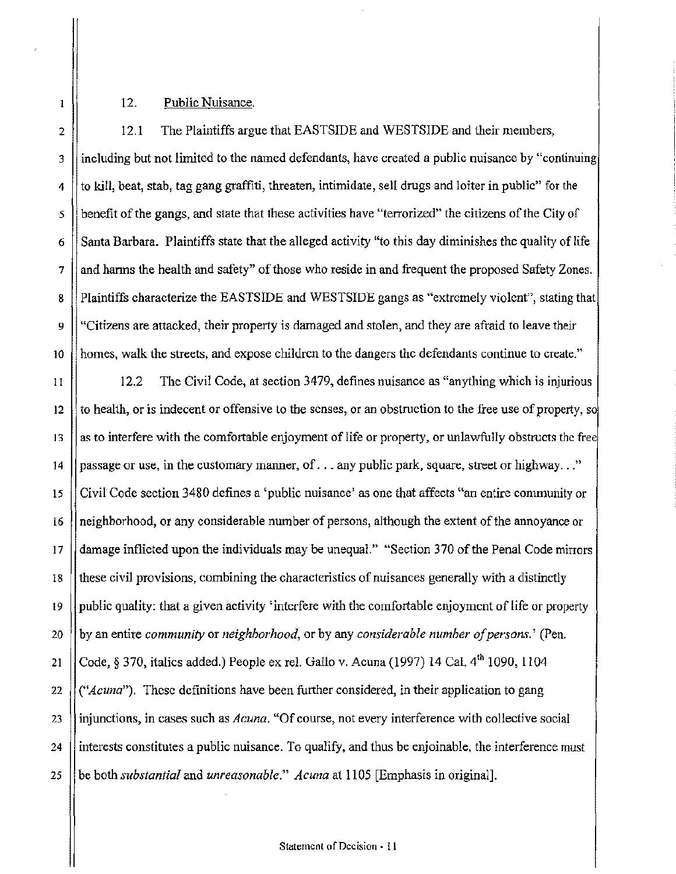12. Public Nuisance.

2 12.1 The Plaintiffs argue that EASTSIDE and WESTSIDE and their members,  $3$  ||including but not limited to the named defendants, have created a public nuisance by "continuing  $4$  || to kill, beat, stab, tag gang graffiti, threaten, intimidate, sell drugs and loiter in public" for the  $\frac{1}{5}$  benefit of the gangs, and state that these activities have "terrorized" the citizens of the City of  $6 \parallel$  Santa Barbara. Plaintiffs state that the alleged activity "to this day diminishes the quality of life  $7 \parallel$  and harms the health and safety" of those who reside in and frequent the proposed Safety Zones. 8 Plaintiffs characterize the EASTSIDE and WESTSIDE gangs as "extremely violent", stating that 9 "Citizens are attacked, their property is damaged and stolen, and they are afraid to leave their lo homes, walk the streets, and expose children to the dangers the defendants continue to create."

11  $\vert$  12.2 The Civil Code, at section 3479, defines nuisance as "anything which is injurious 12 to health, or is indecent or offensive to the senses, or an obstruction to the free use of property, so 13  $\parallel$  as to interfere with the comfortable enjoyment of life or property, or unlawfully obstructs the free 14 | passage or use, in the customary manner, of  $\dots$  any public park, square, street or highway  $\dots$ " 15 Civil Code section 3480 defmes a 'public nuisance' as one that affects "an entire conununity or 16 neighborhood, or any considerable number of persons, although the extent of the annoyance or 17 damage inflicted upon the individuals may be unequal." "Section 370 of the Penal Code mirrors 18 these civil provisions, combining the characteristics of nuisances generally with a distinctly  $19$  || public quality: that a given activity 'interfere with the comfortable enjoyment of life or property 20 by an entire *community* or *neighborhood,* or by any *considerable number of persons.'* (Pen. 21  $\int \c{C}$  Code, § 370, italics added.) People ex rel. Gallo v. Acuna (1997) 14 Cal. 4<sup>th</sup> 1090, 1104 22 *("Acuna").* These definitions have been further considered, in their application to gang 23 injunctions, in cases such as *Acuna.* "Of course, not every interference with collective social 24 interests constitutes a public nuisance. To qualify, and thus be enjoinable, the interference must 25 be both *substantial* and *unreasonable." Acuna* at 1105 [Emphasis in original].

 $\mathbf{1}$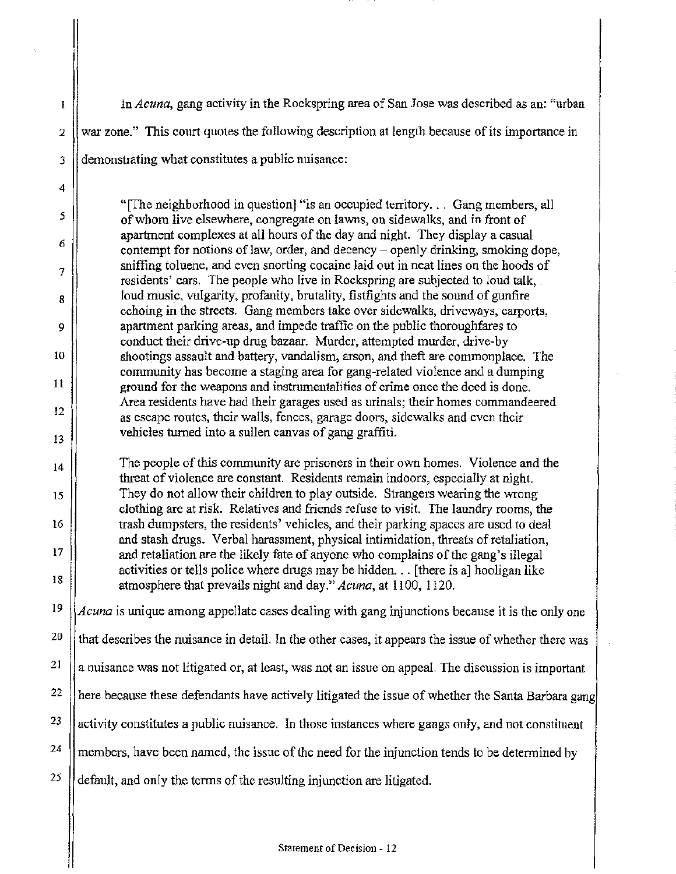!n *Acuna,* gang activity in the Rockspring area of San Jose was described as an: "urban  $2 \parallel$  war zone." This court quotes the following description at length because of its importance in 3 demonstrating what constitutes a public nuisance:

4

 $\mathbf{l}$ 

5

6

7

8

9

10

1l

12

13

14

15

16

17

18

"[fhe neighborhood in question] ''is an occupied territory. . . Gang members, all of whom live elsewhere, congregate on lawns, on sidewalks, and in front of apartment complexes at all hours of the day and night. They display a casual contempt for notions of law, order, and decency- openly drinking, smoking dope, sniffing toluene, and even snorting cocaine laid out in neat lines on the hoods of residents' cars. The people who live in Rockspring are subjected to loud talk, loud music, vulgarity, profanity, brutality, fistfights and the sound of gunfire echoing in the streets. Gang members talce over sidewalks, driveways, carports, apartment parking areas, and impede traffic on the public thoroughfares to conduct their drive-up drug bazaar. Murder, attempted murder, drive-by shootings assault and battery, vandalism, arson, and theft are commonplace. The community has become a staging area for gang-related violence and a dumping ground for the weapons and instrumentalities of crime once the deed is done. Area residents have had their garages used as urinals; their homes commandeered as escape routes, their walls, fences, garage doors, sidewalks and even their vehicles turned into a sullen canvas of gang graffiti.

The people of this community are prisoners in their *ovm* homes. Violence and the threat of violence are constant. Residents remain indoors, especially at night. They do not allow their children to play outside. Strangers wearing the wrong clothing are at risk. Relatives and friends refuse to visit. The laundry rooms, the trash dumpsters, the residents' vehicles, and their parking spaces are used to deal and stash drugs. Verbal harassment, physical intimidation, threats of retaliation, and retaliation are the likely fate of anyone who complains of the gang's illegal activities or tells police where drugs may be hidden ... [there is a] hooligan like atmosphere that prevails night and day." *Acuna,* at 1100, 1120.

19 20 21 22 23 24 25 *Acuna* is unique among appellate cases dealing with gang injunctions because it is the only one that describes the nuisance in detail. In the other cases, it appears the issue of whether there was a nuisance was not litigated or, at least, was not an issue on appeal. The discussion is important here because these defendants have actively litigated the issue of whether the Santa Barbara gang activity constitutes a public nuisance. In those instances where gangs only, and not constituent members, have been named, the issue of the need for the injunction tends to be determined by default, and only the terms of the resulting injunction are litigated.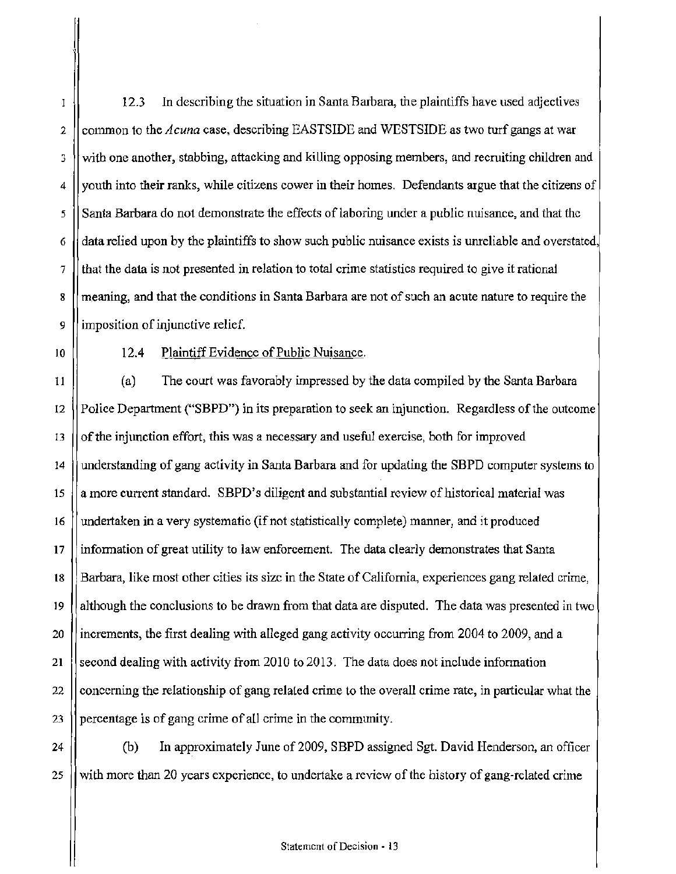12.3 In describing the situation in Santa Barbara, the plaintiffs have used adjectives 2 common to the *Acuna* case, describing EASTSIDE and WESTSIDE as two turf gangs at war  $3 \times 3$  with one another, stabbing, attacking and killing opposing members, and recruiting children and  $4 \vert$  youth into their ranks, while citizens cower in their homes. Defendants argue that the citizens of 5 Santa Barbara do not demonstrate the effects of laboring under a public nuisance, and that the 6  $\parallel$  data relied upon by the plaintiffs to show such public nuisance exists is unreliable and overstated, 7 that the data is not presented in relation to total crime statistics required *to* give it rational 8 | meaning, and that the conditions in Santa Barbara are not of such an acute nature to require the 9 || imposition of injunctive relief.

10

 $\mathbf{I}$ 

# 12.4 Plaintiff Evidence of Public Nuisance.

11 (a) The court was favorably impressed by the data compiled by the Santa Barbara 12 Police Department ("SBPD") in its preparation to seek an injunction. Regardless of the outcome 13  $\parallel$  of the injunction effort, this was a necessary and useful exercise, both for improved 14 understanding of gang activity in Santa Barbara and for updating the SBPD computer systems to 15  $\parallel$  a more current standard. SBPD's diligent and substantial review of historical material was 16 | undertaken in a very systematic (if not statistically complete) manner, and it produced 17 information of great utility to law enforcement. The data clearly demonstrates that Santa 18 Barbara, like most other cities its size in the State of California, experiences gang related crime, 19 | although the conclusions to be drawn from that data are disputed. The data was presented in two 20 || increments, the first dealing with alleged gang activity occurring from 2004 to 2009, and a 21 Second dealing with activity from 2010 to 2013. The data does not include information 22 concerning the relationship of gang related crime to the overall crime rate, in particular what the 23 || percentage is of gang crime of all crime in the community.

24  $\parallel$  (b) In approximately June of 2009, SBPD assigned Sgt. David Henderson, an officer 25  $\parallel$  with more than 20 years experience, to undertake a review of the history of gang-related crime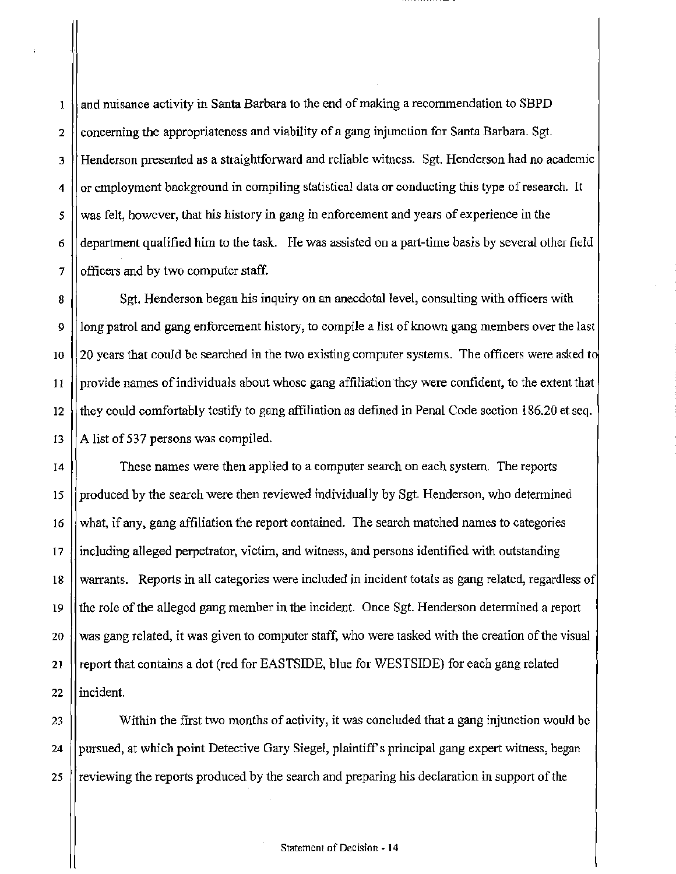and nuisance activity in Santa Barbara to the end of making a recommendation to SBPD  $\pmb{1}$ 2  $\parallel$  concerning the appropriateness and viability of a gang injunction for Santa Barbara. Sgt. 3 Henderson presented as a straightforward and reliable witness. Sgt. Henderson had no acadernic  $4 \parallel$  or employment background in compiling statistical data or conducting this type of research. It 5 || was felt, however, that his history in gang in enforcement and years of experience in the  $6 \mid$  department qualified him to the task. I-le was assisted on a part-time basis by several other field  $7$  | officers and by two computer staff.

8  $\parallel$  Sgt. Henderson began his inquiry on an anecdotal level, consulting with officers with 9 || long patrol and gang enforcement history, to compile a list of known gang members over the last 10  $\vert$  20 years that could be searched in the two existing computer systems. The officers were asked to  $\frac{11}{11}$  l provide names of individuals about whose gang affiliation they were confident, to the extent that 12 they could comfortably testify to gang affiliation as defined in Penal Code section 186.20 et seq. 13  $||A|$  list of 537 persons was compiled.

14 These names were then applied to a computer search on each system. The reports 15 produced by the search were then reviewed individually by Sgt. Henderson, who determined 16 what, if any, gang affiliation the report contained. The search matched names to categories 17 including alleged perpetrator, victim, and witness, and persons identified with outstanding 18 warrants. Reports in all categories were included in incident totals as gang related, regardless of 19 the role of the alleged gang member in the incident. Once Sgt. Henderson determined a report 20 Was gang related, it was given to computer staff, who were tasked with the creation of the visual 21 | report that contains a dot (red for EASTSIDE, blue for WESTSIDE) for each gang related 22 llincident.

23 Within the first two months of activity, it was concluded that a gang injunction would be 24 | pursued, at which point Detective Gary Siegel, plaintiff's principal gang expert witness, began 25 is reviewing the reports produced by the search and preparing his declaration in support of the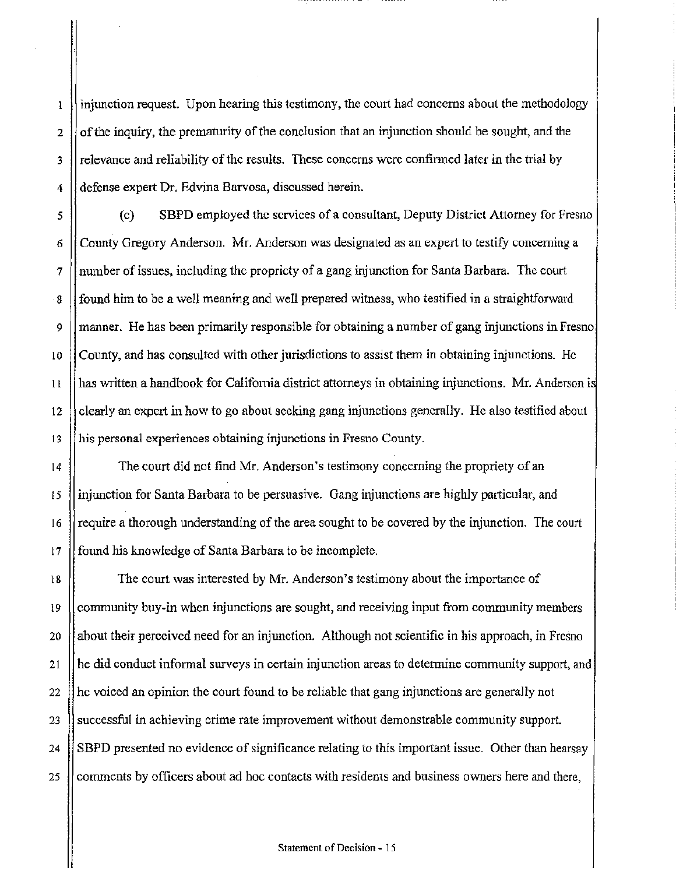injunction request. Upon hearing this testimony, the court had concerns about the methodology  $\mathbf{l}$ 2  $\parallel$  of the inquiry, the prematurity of the conclusion that an injunction should be sought, and the  $3$  || relevance and reliability of the results. These concerns were confirmed later in the trial by 4 defense expert Dr. Edvina Barvosa, discussed herein.

5 (c) SBPD employed the services ofa consultant, Deputy District Attorney for Fresno 6 County Gregory Anderson. Mr. Anderson was designated as an expert to testify concerning a 7 number of issues, including the propriety of a gang injunction for Santa Barbara. The court 8 Sum is found him to be a well meaning and well prepared witness, who testified in a straightforward 9 manner. He has been primarily responsible for obtaining a number of gang injunctions in Fresno 10 County, and has consulted with other jurisdictions to assist them in obtaining injunctions. He 11 has written a handbook for California district attorneys in obtaining injunctions. Mr. Anderson i 12 clearly an expert in how to go about seeking gang injunctions generally. He also testified about 13 || his personal experiences obtaining injunctions in Fresno County.

14 The court did not find Mr. Anderson's testimony concerning the propriety of an 15 injunction for Santa Barbara to be persuasive. Gang injunctions are highly particular, and 16  $\parallel$  require a thorough understanding of the area sought to be covered by the injunction. The court 17 | found his knowledge of Santa Barbara to be incomplete.

18 The court was interested by Mr. Anderson's testimony about the importance of 19 community buy-in when injunctions are sought, and receiving input from community members 20  $\parallel$  about their perceived need for an injunction. Although not scientific in his approach, in Fresno 21  $\vert\vert$  he did conduct informal surveys in certain injunction areas to determine community support, and 22 he voiced an opinion the court found to be reliable that gang injunctions are generally not 23 Successful in achieving crime rate improvement without demonstrable community support. 24 SBPD presented no evidence of significance relating to this important issue. Other than hearsay 25 comments by officers about ad hoc contacts with residents and business owners here and there,

### Statement of Decision - 15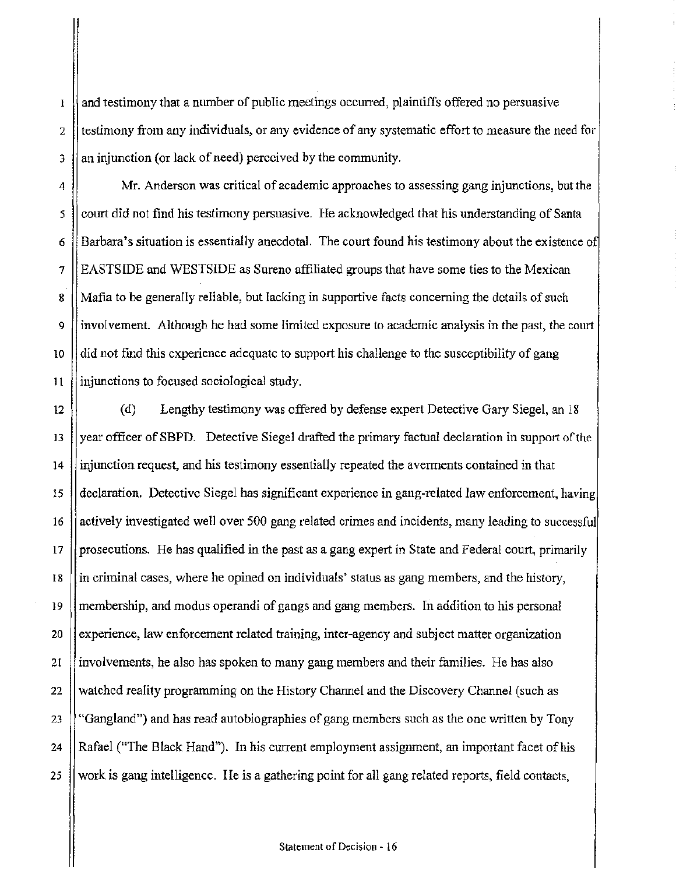and testimony that a number of public meetings occurred, plaintiffs offered no persuasive  $\mathbf{I}% _{T}\left( t\right) \equiv\mathbf{I}_{T}\left( t\right)$  $2 \parallel$  testimony from any individuals, or any evidence of any systematic effort to measure the need for  $3$  || an injunction (or lack of need) perceived by the community.

4 Mr. Anderson was critical of academic approaches to assessing gang injunctions, but the 5 court did not find his testimony persuasive. He acknowledged that his understanding of Santa 6 **Barbara's situation is essentially anecdotal.** The court found his testimony about the existence of 7 EASTSIDE and WESTSIDE as Sureno affiliated groups that have some ties to the Mexican 8 || Mafia to be generally reliable, but lacking in supportive facts concerning the details of such 9 involvement. Although he had some limited exposure to academic analysis in the past, the court  $10$  did not find this experience adequate to support his challenge to the susceptibility of gang  $11$  injunctions to focused sociological study.

12 (d) Lengthy testimony was offered by defense expert Detective Gary Siegel, an 18 13 year officer of SBPD. Detective Siegel drafted the primary factual declaration in support of the 14 injunction request, and his testimony essentially repeated the averrnents contained in that 15  $\parallel$  declaration. Detective Siegel has significant experience in gang-related law enforcement, having 16 | actively investigated well over 500 gang related crimes and incidents, many leading to successful  $17$  || prosecutions. He has qualified in the past as a gang expert in State and Federal court, primarily 18 in criminal cases, where he opined on individuals' status as gang members, and the history, 19 || membership, and modus operandi of gangs and gang members. In addition to his personal 20 experience, law enforcement related training, inter-agency and subject matter organization 21 involvements, he also has spoken to many gang members and their families. He has also 22 watched reality programming on the History Channel and the Discovery Channel (such as 23 "Gangland") and has read autobiographies of gang members such as the one written by Tony 24 || Rafael ("The Black Hand"). In his current employment assignment, an important facet of his 25 work is gang intelligence. He is a gathering point for all gang related reports, field contacts,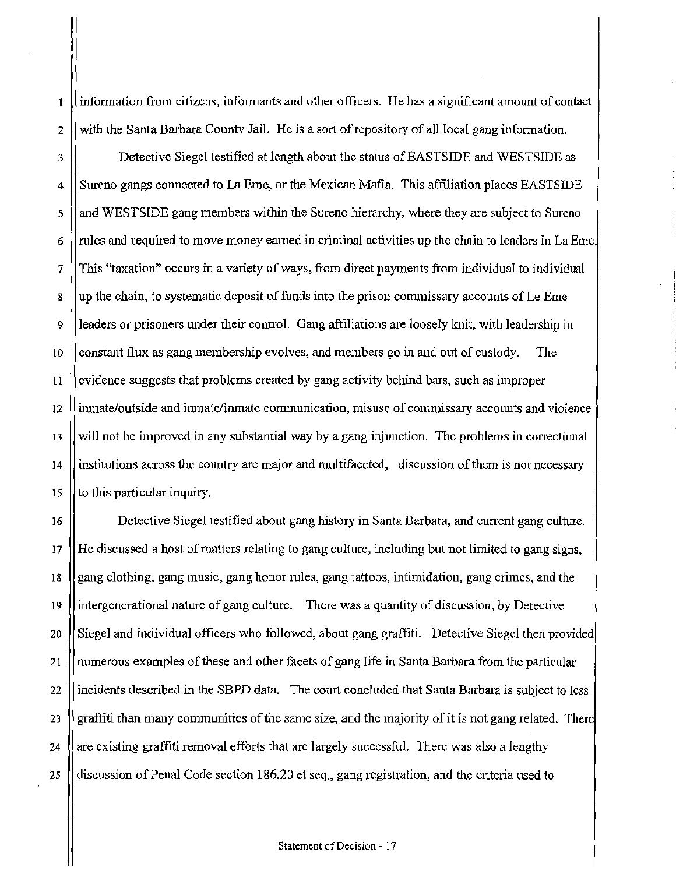information from citizens, infOrmants and other officers. Ile has a significant amount of contact  $\mathbf{I}$  $2 \parallel$  with the Santa Barbara County Jail. He is a sort of repository of all local gang information.

3 **Detective Siegel testified at length about the status of EASTSIDE and WESTSIDE as**  $4 \parallel$  Sureno gangs connected to La Erne, or the Mexican Mafia. This affiliation places EASTSIDE 5 and WESTSIDE gang members within the Sureno hierarchy, where they are subject to Sureno  $6 \sqrt{\frac{\text{m}}{\text{m}}}$  rules and required to move money earned in criminal activities up the chain to leaders in La Eme. 7 This "taxation" occurs in a variety of ways, from direct payments from individual to individual 8 up the chain, to systematic deposit of funds into the prison commissary accounts of Le Erne 9 leaders or prisoners under their control. Gang affiliations are loosely knit, with leadership in 10  $\vert\vert$  constant flux as gang membership evolves, and members go in and out of custody. The 11 Solution is evidence suggests that problems created by gang activity behind bars, such as improper 12 inmate/outside and irunate/inmate communication, misuse of commissary accounts and violence IJ will not be improved in any substantial way by a gang injunction. The problems in correctional 14 institutions across the country are major and multifaceted, discussion of them is not necessary 15  $\vert$  to this particular inquiry.

16 | Detective Siegel testified about gang history in Santa Barbara, and current gang culture. 17 He discussed a host of matters relating to gang culture, including but not limited to gang signs, 18 gang clothing, gang music, gang honor rules, gang tattoos, intimidation, gang crimes, and the 19 intergenerational nature of gang culture. There was a quantity of discussion, by Detective 20 Siegel and individual officers who followed, about gang graffiti. Detective Siegel then provided 21 numerous examples of these and other facets of gang life in Santa Barbara from the particular 22 | incidents described in the SBPD data. The court concluded that Santa Barbara is subject to less 23 graffiti than many communities of the same size, and the majority of it is not gang related. There 24  $\parallel$  are existing graffiti removal efforts that are largely successful. There was also a lengthy 25 discussion of Penal Code section 186.20 et seq., gang registration, and the criteria used to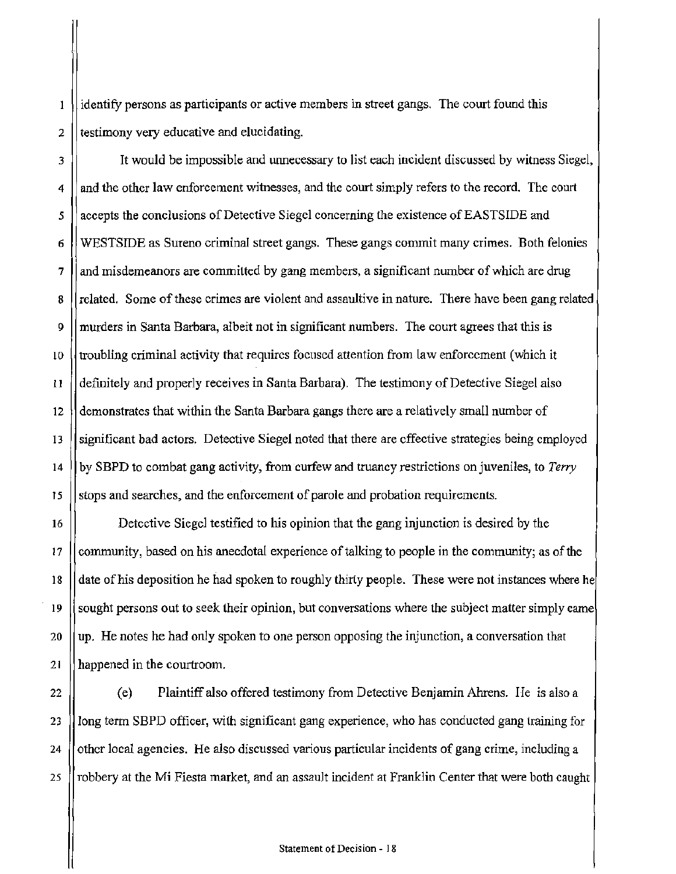identify persons as participants or active members in street gangs. The court found this  $\mathbf{1}$  $2$  || testimony very educative and elucidating.

3 It would be impossible and unnecessary to list each incident discussed by witness Siegel, 4 and the other law enforcement witnesses, and the court simply refers *to* the record. The court 5 | accepts the conclusions of Detective Siegel concerning the existence of EASTSIDE and 6 WESTSIDE as Sureno criminal street gangs. These gangs commit many crimes. Both felonies  $7 \text{ ||}$  and misdemeanors are committed by gang members, a significant number of which are drug 8 || related. Some of these crimes are violent and assaultive in nature. There have been gang related 9 murders in Santa Barbara, albeit not in significant numbers. The court agrees that this is 10  $\mu$  troubling criminal activity that requires focused attention from law enforcement (which it 11 definitely and properly receives in Santa Barbara). The testimony of Detective Siegel also 12 demonstrates that within the Santa Barbara gangs there are a relatively small number of 13 significant bad actors. Detective Siegel noted that there are effective strategies being employed 14 by SBPD to combat gang activity, from curfew and truancy restrictions on juveniles, to *Terry*  15 S is stops and searches, and the enforcement of parole and probation requirements.

16 Detective Siegel testified to his opinion that the gang injunction is desired by the 17  $\parallel$  community, based on his anecdotal experience of talking to people in the community; as of the 18 date of his deposition he had spoken to roughly thirty people. These were not instances where he 19 Sought persons out to seek their opinion, but conversations where the subject matter simply came 20 || up. He notes he had only spoken to one person opposing the injunction, a conversation that 21 happened in the courtroom.

22 (e) Plaintiff also offered testimony from Detective Benjamin Ahrens. Ile is also a 23 ] long term SBPD officer, with significant gang experience, who has conducted gang training for 24  $\parallel$  other local agencies. He also discussed various particular incidents of gang crime, including a 25 | robbery at the Mi Fiesta market, and an assault incident at Franklin Center that were both caught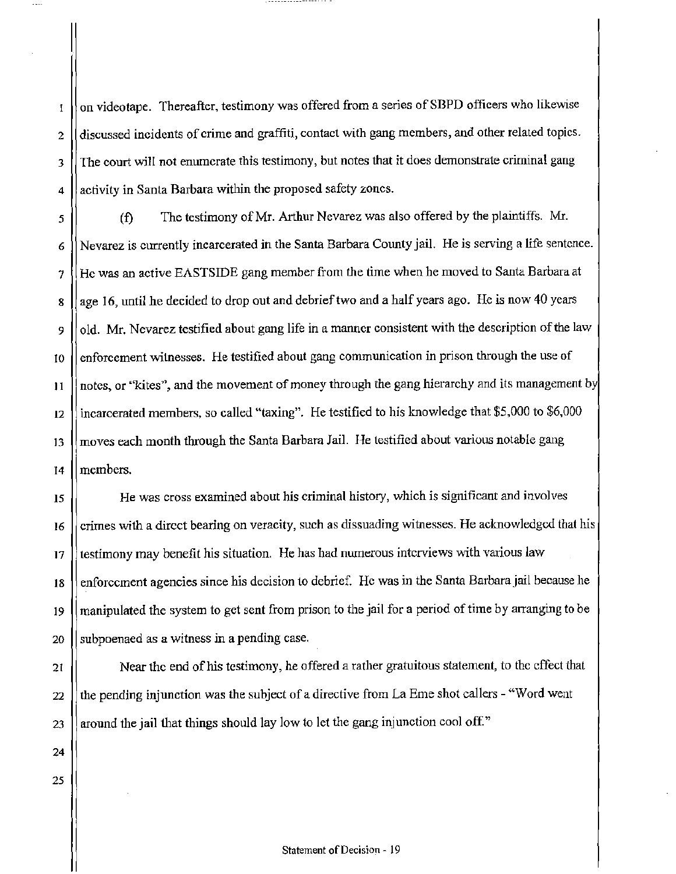on videotape. 1'hereafter, testimony was offered from a series of SBPD officers who likewise  $\mathbf I$ 2 discussed incidents of crime and graffiti, contact with gang members, and other related topics. J The court will not enumerate this testimony, but notes that it does demonstrate criminal gang 4 || activity in Santa Barbara within the proposed safety zones.

*5* (f) The testimony of Mr. Arthur Nevarez was also offered by the plaintiffs. Mr. 6 Nevarez is currently incarcerated in the Santa Barbara County jail. He is serving a life sentence.  $7$  || He was an active EASTSIDE gang member from the time when he moved to Santa Barbara at 8 || age 16, until he decided to drop out and debrief two and a half years ago. He is now 40 years 9  $\parallel$  old. Mr. Nevarez testified about gang life in a manner consistent with the description of the law  $10$  enforcement witnesses. He testified about gang communication in prison through the use of  $11$  || notes, or "kites", and the movement of money through the gang hierarchy and its management by 12 incarcerated members, so called "taxing''. He testified to his knowledge that \$5,000 to \$6,000 13  $\parallel$  moves each month through the Santa Barbara Jail. He testified about various notable gang 14 members.

15 He was cross examined about his criminal history, which is significant and involves 16 | crimes with a direct bearing on veracity, such as dissuading witnesses. He acknowledged that his  $17$  || testimony may benefit his situation. He has had numerous interviews with various law 18 | enforcement agencies since his decision to debrief. He was in the Santa Barbara jail because he 19 manipulated the system to get sent from prison to the jail for a period of time by arranging to be 20 Subpoenaed as a witness in a pending case.

21 | Near the end of his testimony, he offered a rather gratuitous statement, to the effect that 22  $\left\| \right\|$  the pending injunction was the subject of a directive from La Erne shot callers - "Word went 23 | around the jail that things should lay low to let the gang injunction cool off."

24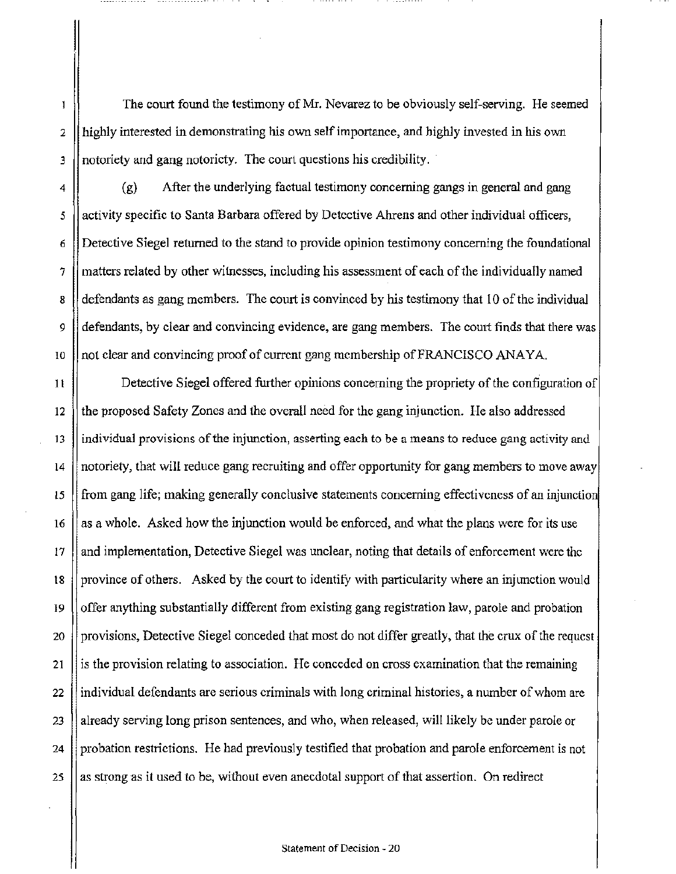The court found the testimony of Mr. Nevarez to be obviously self-serving. He seemed 2 || highly interested in demonstrating his own self importance, and highly invested in his own 3 || notoriety and gang notoricty. The court questions his credibility.

 $\mathbf{I}$ 

4 (g) After the underlying factual testimony concerning gangs in general and gang 5 | activity specific to Santa Barbara offered by Detective Ahrens and other individual officers, 6 Detective Siegel returned to the stand to provide opinion testimony concerning the foundational  $7$  || matters related by other witnesses, including his assessment of each of the individually named  $\mathbf{g}$  defendants as gang members. The court is convinced by his testimony that 10 of the individual 9 defendants, by clear and convincing evidence, are gang members. The court finds that there was 10  $\|\text{not clear and convincing proof of current gang membership of FRANCISCO ANAYA.$ 

I l Detective Siegel offered further opinions concerning the propriety of the configuration of 12 the proposed Safety Zones and the overall need for the gang injunction. He also addressed 13 individual provisions of the injunction, asserting each to be a means to reduce gang activity and 14 notoriety, that will reduce gang recruiting and offer opportunity for gang members to move away 15  $\parallel$  from gang life; making generally conclusive statements concerning effectiveness of an injunction 16  $\parallel$  as a whole. Asked how the injunction would be enforced, and what the plans were for its use  $17$  || and implementation, Detective Siegel was unclear, noting that details of enforcement were the 18 | province of others. Asked by the court to identify with particularity where an injunction would 19  $\Box$  offer anything substantially different from existing gang registration law, parole and probation 20 **provisions**, Detective Siegel conceded that most do not differ greatly, that the crux of the request 21 is the provision relating to association. He conceded on cross examination that the remaining  $22$  || individual defendants are serious criminals with long criminal histories, a number of whom are 23 already serving long prison sentences, and who, when released, will likely be under parole or 24 probation restrictions. He had previously testified that probation and parole enforcement is not  $25$  || as strong as it used to be, without even anecdotal support of that assertion. On redirect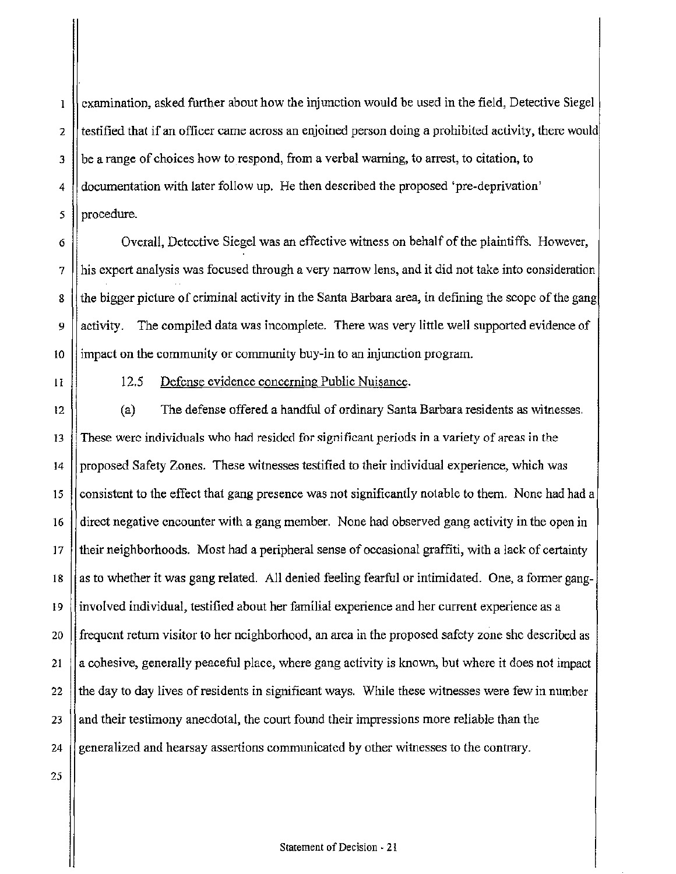examination, asked further about how the injunction would be used in the field, Detective Siegel  $\mathbf{I}$ 2 testified that if an officer came across an enjoined person doing a prohibited activity, there would  $3$  | be a range of choices how to respond, from a verbal warning, to arrest, to citation, to 4 documentation with later follow up. He then described the proposed 'pre-deprivation'  $5$  | procedure.

 $6 \parallel$  Overall, Detective Siegel was an effective witness on behalf of the plaintiffs. However, 7 his expert analysis was focused through a very narrow lens, and it did not take into consideration 8 the bigger picture of criminal activity in the Santa Barbara area, in defining the scope of the gang  $9 \parallel$  activity. The compiled data was incomplete. There was very little well supported evidence of 10  $\parallel$  impact on the community or community buy-in to an injunction program.

11

## 12.5 Defense evidence concerning Public Nuisance.

12 (a) The defense offered a handful of ordinary Santa Barbara residents as witnesses.  $13$  These were individuals who had resided for significant periods in a variety of areas in the 14 proposed Safety Zones. These witnesses testified to their individual experience, which was 15 consistent to the effect that gang presence was not significantly notable to them. None had had a 16 direct negative encounter with a gang member. None had observed gang activity in the open in  $17$  ||their neighborhoods. Most had a peripheral sense of occasional graffiti, with a lack of certainty 18  $\parallel$  as to whether it was gang related. All denied feeling fearful or intimidated. One, a former gang-19 involved individual, testified about her familial experience and her current experience as a  $20$  || frequent return visitor to her neighborhood, an area in the proposed safety zone she described as 21  $\parallel$  a cohesive, generally peaceful place, where gang activity is known, but where it does not impact 22 the day to day lives of residents in significant ways. While these witnesses were few in number 23 and their testimony anecdotal, the court found their impressions more reliable than the 24  $\parallel$  generalized and hearsay assertions communicated by other witnesses to the contrary.

25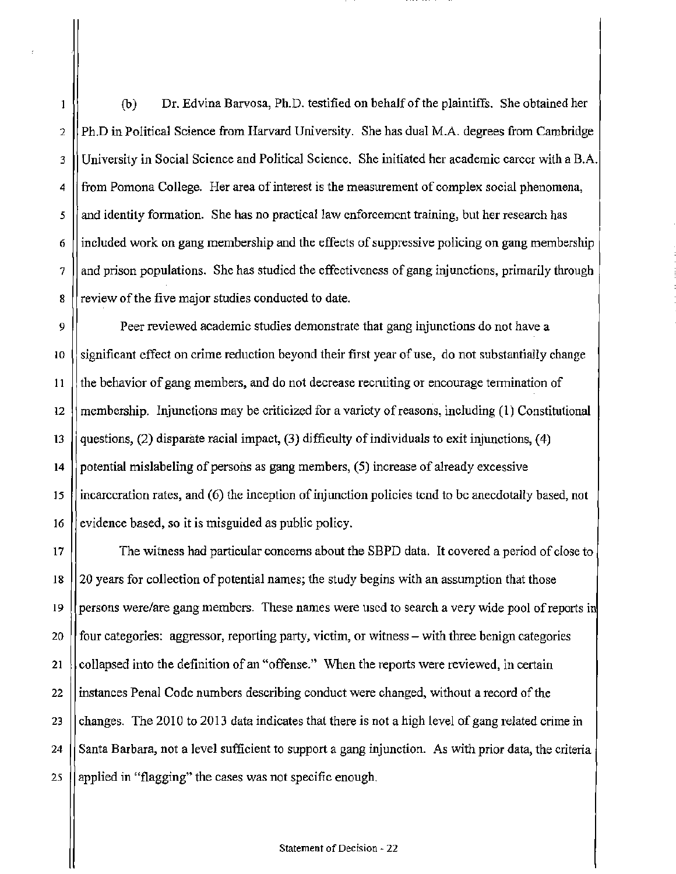(b) Dr. Edvina Barvosa, Ph.D. testified on behalf of the plaintiffs. She obtained her  $\mathbf{1}$ 2 || Ph.D in Political Science from Harvard University. She has dual M.A. degrees from Cambridge 3 University in Social Science and Political Science. She initiated her academic career with a B.A.  $4 \parallel$  from Pomona College. Her area of interest is the measurement of complex social phenomena, 5 || and identity formation. She has no practical law enforcement training, but her research has  $6$  ||included work on gang membership and the effects of suppressive policing on gang membership  $7 \parallel$  and prison populations. She has studied the effectiveness of gang injunctions, primarily through 8 *less* review of the five major studies conducted to date.

9 Peer reviewed academic studies demonstrate that gang injunctions do not have a  $10$  (significant effect on crime reduction beyond their first year of use, do not substantially change 11 the behavior of gang members, and do not decrease recnriting or encourage termination of 12 || membership. Injunctions may be criticized for a variety of reasons, including  $(1)$  Constitutional 13 questions, (2) disparate racial impact, (3) difficulty of individuals to exit injunctions, (4) 14  $\parallel$  potential mislabeling of persons as gang members, (5) increase of already excessive 15 incarceration rates, and (6) the inception of injunction policies tend to be anecdotally based, not 16  $\parallel$  evidence based, so it is misguided as public policy.

17 The witness had particular concerns about the SBPD data. It covered a period of close to 18 20 years for collection of potential names; the study begins with an assumption that those 19 || persons were/are gang members. These names were used to search a very wide pool of reports in 20  $\parallel$  four categories: aggressor, reporting party, victim, or witness – with three benign categories 21 | collapsed into the definition of an "offense." When the reports were reviewed, in certain 22 | instances Penal Code numbers describing conduct were changed, without a record of the 23 changes. The 2010 to 2013 data indicates that there is not a high level of gang related crime in 24 Santa Barbara, not a level sufficient to support a gang injunction. As with prior data, the criteria 25  $\parallel$  applied in "flagging" the cases was not specific enough.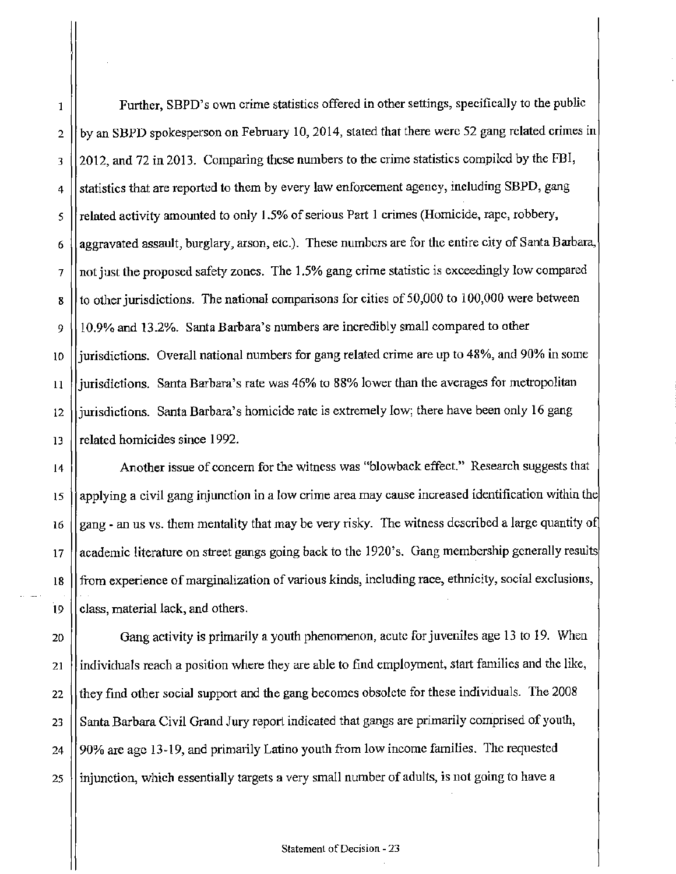$\parallel$  Further, SBPD's own crime statistics offered in other settings, specifically to the public 2 || by an SBPD spokesperson on February 10, 2014, stated that there were 52 gang related crimes in 3 2012, and 72 in 2013. Comparing these numbers to the crime statistics compiled by the FBI, 4 || statistics that are reported to them by every law enforcement agency, including SBPD, gang  $\frac{1}{5}$  related activity amounted to only 1.5% of serious Part 1 crimes (Homicide, rape, robbery,  $6 \vert$  aggravated assault, burglary, arson, etc.). These numbers are for the entire city of Santa Barbara,  $7$  || not just the proposed safety zones. The 1.5% gang crime statistic is exceedingly low compared  $\vert$  s  $\vert$  to other jurisdictions. The national comparisons for cities of 50,000 to 100,000 were between 9 10.9o/o and 13.2%. Santa Barbara's numbers are incredibly small compared to other 10 | jurisdictions. Overall national numbers for gang related crime are up to 48%, and 90% in some 11 *luiturisdictions.* Santa Barbara's rate was 46% to 88% lower than the averages for metropolitan 12 | jurisdictions. Santa Barbara's homicide rate is extremely low; there have been only 16 gang 13 related homicides since 1992.

14 Another issue of concern for the witness was "blowback effect." Research suggests that 15 | applying a civil gang injunction in a low crime area may cause increased identification within the 16  $\parallel$  gang - an us vs. them mentality that may be very risky. The witness described a large quantity of 17 || academic literature on street gangs going back to the 1920's. Gang membership generally results 18 from experience of marginalization of various kinds, including race, ethnicity, social exclusions, 19  $\vert\vert$  class, material lack, and others.

20 **Ganguer** Ganguerical is primarily a youth phenomenon, acute for juveniles age 13 to 19. When 21 | individuals reach a position where they are able to find employment, start families and the like, 22 (they find other social support and the gang becomes obsolete for these individuals. The 2008 23 | Santa Barbara Civil Grand Jury report indicated that gangs are primarily comprised of youth, 24 | 90% are age 13-19, and primarily Latino youth from low income families. The requested  $25$  ||injunction, which essentially targets a very small number of adults, is not going to have a

#### Statement of Decision - 23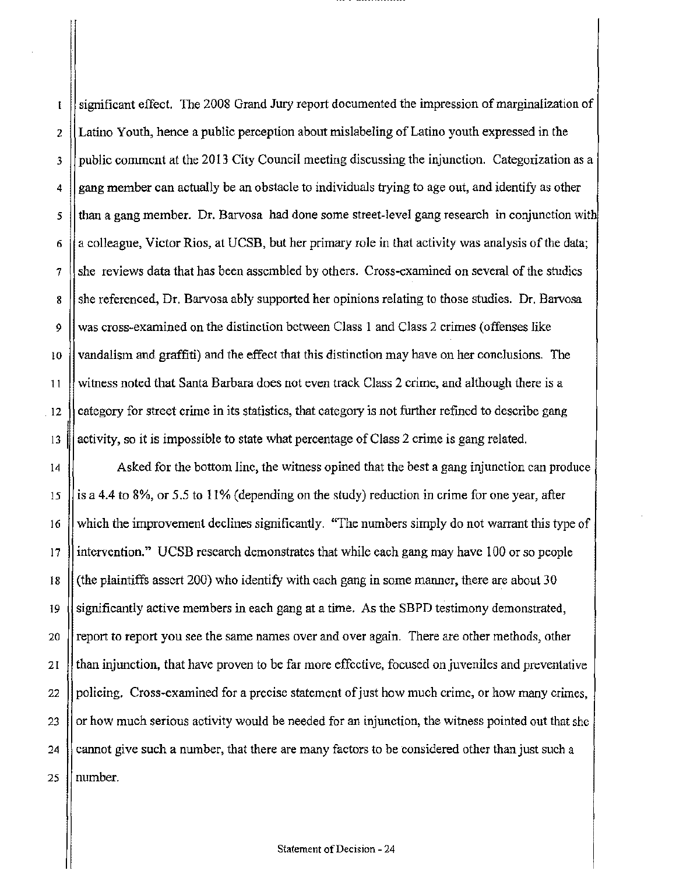significant effect. The 2008 Grand Jury report documented the impression of marginalization of  $\mathbf{I}$  $2 \parallel$  Latino Youth, hence a public perception about mislabeling of Latino youth expressed in the  $3$  public comment at the 2013 City Council meeting discussing the injunction. Categorization as a 4 gang member can actually be an obstacle to individuals trying to age out, and identify as other  $5$  || than a gang member. Dr. Barvosa had done some street-level gang research in conjunction with 6  $\parallel$  a colleague, Victor Rios, at UCSB, but her primary role in that activity was analysis of the data;  $7$  she reviews data that has been assembled by others. Cross-examined on several of the studies 8 She referenced, Dr. Barvosa ably supported her opinions relating to those studies. Dr. Barvosa 9 was cross-examined on the distinction between Class 1 and Class 2 crimes (offenses like 10  $\parallel$  vandalism and graffiti) and the effect that this distinction may have on her conclusions. The 11 witness noted that Santa Barbara does not even track Class 2 crime, and although there is a 12  $\parallel$  category for street crime in its statistics, that category is not further refined to describe gang 13  $\parallel$  activity, so it is impossible to state what percentage of Class 2 crime is gang related.

14 Asked for the bottom line, the witness opined that the best a gang injunction can produce 15 | is a 4.4 to 8%, or 5.5 to 11% (depending on the study) reduction in crime for one year, after 16 which the improvement declines significantly. "The numbers simply do not warrant this type of 17 intervention." UCSB research demonstrates that while each gang may have 100 or so people 18 (the plaintiffs assert 200) who identify with each gang in some manner, there are about 30 19  $\parallel$  significantly active members in each gang at a time. As the SBPD testimony demonstrated, 20 **report to report you see the same names over and over again.** There are other methods, other 21 than injunction, that have proven to be far more effective, focused on juveniles and preventative 22 || policing. Cross-examined for a precise statement of just how much crime, or how many crimes, 23  $\parallel$  or how much serious activity would be needed for an injunction, the witness pointed out that she 24  $\parallel$  cannot give such a number, that there are many factors to be considered other than just such a 25  $\parallel$  number.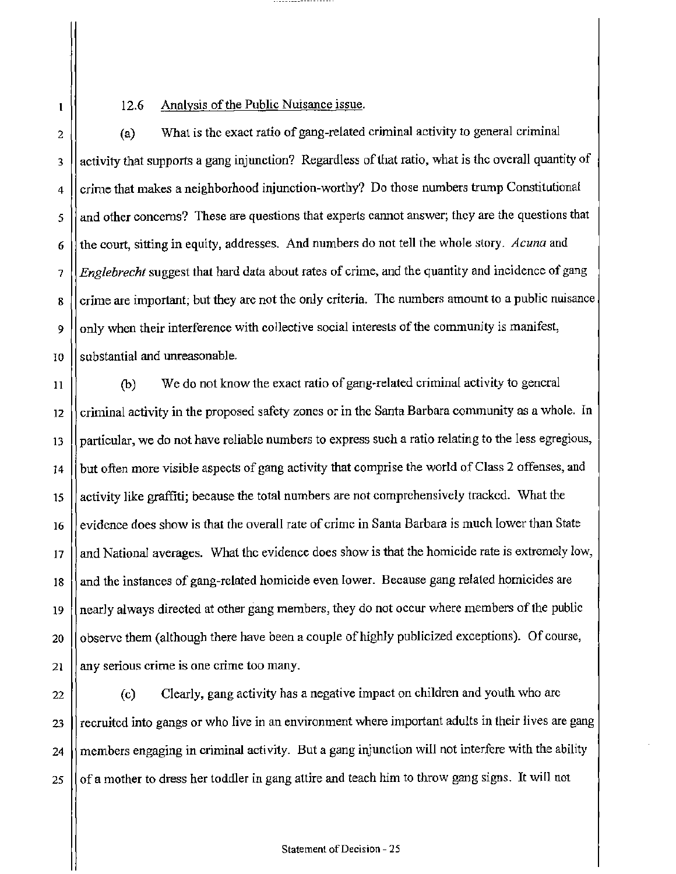# 12.6 Analysis of the Public Nuisance issue.

 $2 \parallel$  (a) What is the exact ratio of gang-related criminal activity to general criminal 3 | activity that supports a gang injunction? Regardless of that ratio, what is the overall quantity of 4 Crime that makes a neighborhood injunction-worthy? Do those numbers trump Constitutional 5 and other concerns? These are questions that experts cannot answer; they are the questions that 6 the court, sitting in equity, addresses. And numbers do not tell the whole story. *Acuna* and 7 *Englebrecht* suggest that hard data about rates of crime, and the quantity and incidence of gang 8 crime are important; but they are not the only criteria. The numbers amount to a public nuisance 9  $\parallel$  only when their interference with collective social interests of the community is manifest, 10 Substantial and unreasonable.

II (b) We do not know the exact ratio of gang-related criminal activity to general  $12$   $\parallel$  criminal activity in the proposed safety zones or in the Santa Barbara community as a whole. In  $13$  | particular, we do not have reliable numbers to express such a ratio relating to the less egregious, 14 | but often more visible aspects of gang activity that comprise the world of Class 2 offenses, and 15 || activity like graffiti; because the total numbers are not comprehensively tracked. What the  $16$  evidence does show is that the overall rate of crime in Santa Barbara is much lower than State 17 || and National averages. What the evidence does show is that the homicide rate is extremely low, 18 || and the instances of gang-related homicide even lower. Because gang related homicides are 19 || nearly always directed at other gang members, they do not occur where members of the public 20 || observe them (although there have been a couple of highly publicized exceptions). Of course, 21  $\parallel$  any serious crime is one crime too many.

22 (c) Clearly, gang activity has a negative impact on children and youth who arc 23 | recruited into gangs or who live in an environment where important adults in their lives are gang 24 members engaging in criminal activity. But a gang injunction will not interfere with the ability 25 || of a mother to dress her toddler in gang attire and teach him to throw gang signs. It will not

 $\mathbf{I}$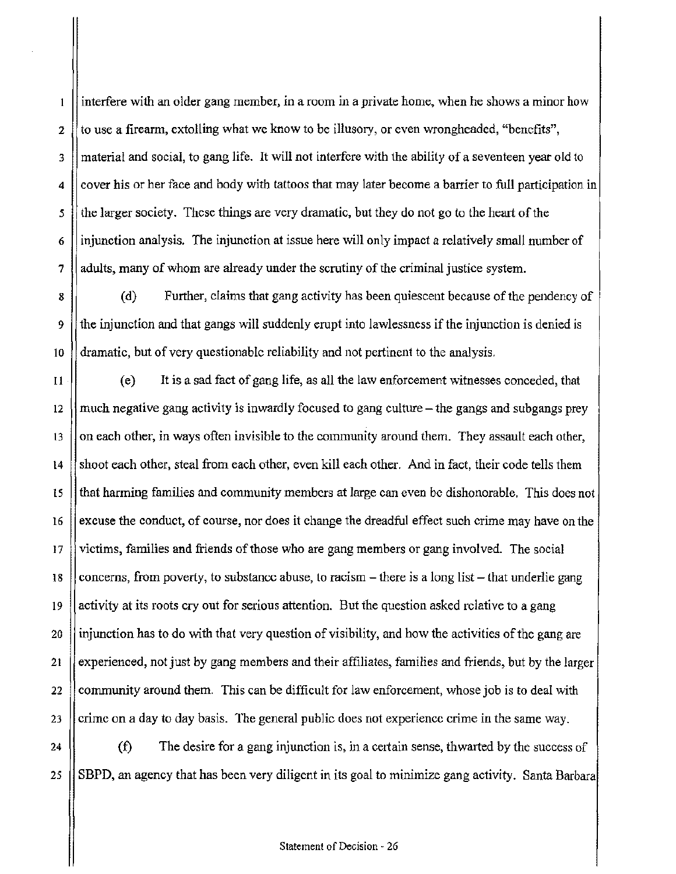interfere with an older gang member, in a room in a private home, when he shows a minor how  $\mathbf{1}$ 2  $\parallel$  to use a firearm, extolling what we know to be illusory, or even wrongheaded, "benefits", 3 material and social, to gang life. It will not interfere with the ability of a seventeen year old to  $4 \parallel$  cover his or her face and body with tattoos that may later become a barrier to full participation in  $5 \parallel$  the larger society. These things are very dramatic, but they do not go to the heart of the  $6$  || injunction analysis. The injunction at issue here will only impact a relatively small number of 7 adults, many of whom are already under the scrutiny of the criminal justice system.

8 (d) Further, claims that gang activity has been quiescent because of the pendency of 9 the injunction and that gangs will suddenly erupt into lawlessness if the injunction is denied is  $\lceil \cdot \rceil$  dramatic, but of very questionable reliability and not pertinent to the analysis.

 $11$  (e) It is a sad fact of gang life, as all the law enforcement witnesses conceded, that 12  $\parallel$  much negative gang activity is inwardly focused to gang culture – the gangs and subgangs prey  $13$  || on each other, in ways often invisible to the community around them. They assault each other, 14 Shoot each other, steal from each other, even kill each other. And in fact, their code tells them 15 that harming families and community members at large can even be dishonorable. This does not 16  $\parallel$  excuse the conduct, of course, nor does it change the dreadful effect such crime may have on the 17 victims, families and friends of those who are gang members or gang involved. The social 18  $\vert$  concerns, from poverty, to substance abuse, to racism – there is a long list – that underlie gang 19 activity at its roots cry out for serious attention. But the question asked relative to a gang 20 injunction has to do with that very question of visibility, and how the activities of the gang are 21 experienced, not just by gang members and their affiliates, families and friends, but by the larger 22  $\parallel$  community around them. This can be difficult for law enforcement, whose job is to deal with 23 Crime on a day to day basis. The general public does not experience crime in the same way.

24  $\parallel$  (f) The desire for a gang injunction is, in a certain sense, thwarted by the success of 25  $\parallel$  SBPD, an agency that has been very diligent in its goal to minimize gang activity. Santa Barbara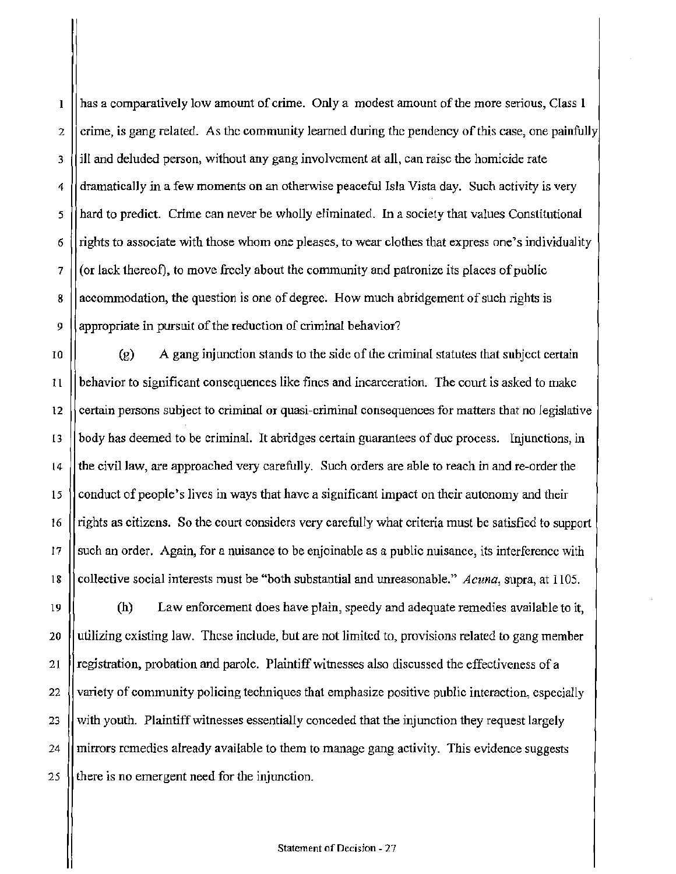has a comparatively low amount of crime. Only a modest amount of the more serious, Class 1  $\mathbf{l}$ 2 crime, is gang related. As the community learned during the pendency of this case, one painfully 3 ill and deluded person, without any gang involvement at all, can raise the homicide rate  $4 \parallel$  dramatically in a few moments on an otherwise peaceful Isla Vista day. Such activity is very *5* hard to predict. Crime can never be wholly eliminated. In a society that values Constitutional 6 rights to associate with those whom one pleases, to wear clothes that express one's individuality  $7 \parallel$  (or lack thereof), to move freely about the community and patronize its places of public 8 accommodation, the question is one of degree. How much abridgement of such rights is 9 || appropriate in pursuit of the reduction of criminal behavior?

 $\begin{bmatrix} 10 \end{bmatrix}$  (g) A gang injunction stands to the side of the criminal statutes that subject certain  $11$  | behavior to significant consequences like fines and incarceration. The court is asked to make 12 certain persons subject to criminal or quasi-criminal consequences for matters that no legislative 13 body has deemed to be criminal. It abridges certain guarantees of due process. Injunctions, in 14 the civil Jaw, are approached very carefully. Such orders are able to reach in and re-order the 15 Conduct of people's lives in ways that have a significant impact on their autonomy and their 16 | rights as citizens. So the court considers very carefully what criteria must be satisfied to support 17 Such an order. Again, for a nuisance to be enjoinable as a public nuisance, its interference with 18 collective social interests must be "both substantial and unreasonable." Acuna, supra, at 1105.

(h) Law enforcement does have plain, speedy and adequate remedies available to it,  $\parallel$  utilizing existing law. These include, but are not limited to, provisions related to gang member 21 | registration, probation and parole. Plaintiff witnesses also discussed the effectiveness of a  $\ell$  variety of community policing techniques that emphasize positive public interaction, especially  $\parallel$  with youth. Plaintiff witnesses essentially conceded that the injunction they request largely  $\parallel$  mirrors remedies already available to them to manage gang activity. This evidence suggests  $\parallel$  there is no emergent need for the injunction.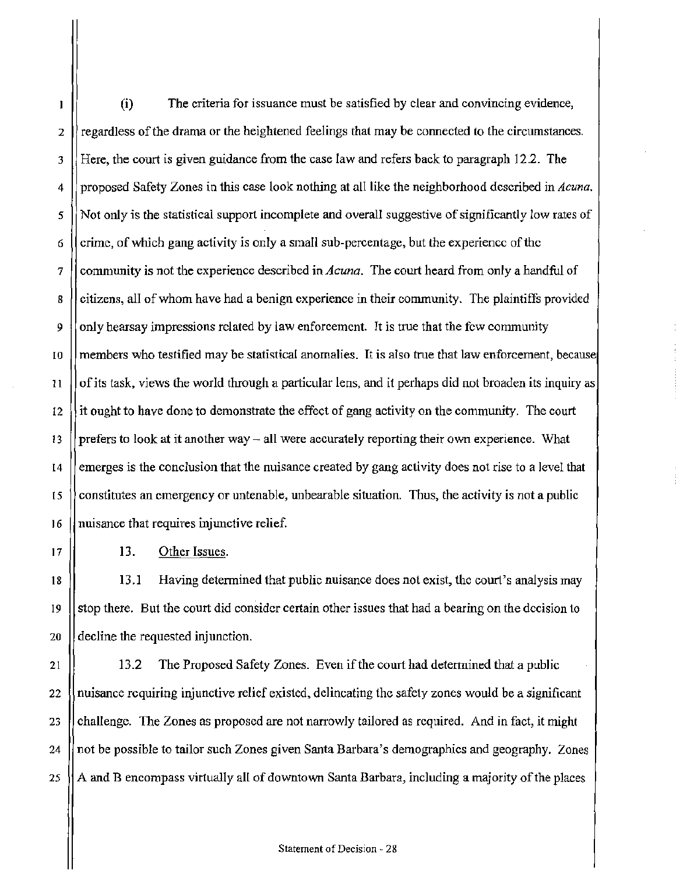(i) The criteria for issuance must be satisfied by clear and convincing evidence,  $\mathbf{I}$ 2  $\parallel$  regardless of the drama or the heightened feelings that may be connected to the circumstances. 3 Here, the court is given guidance from the case law and refers back to paragraph 12.2. The 4 proposed Safety Zones in this *case* look nothing at all like the neighborhood described in *Acuna. 5* Not only is the statistical support incomplete and overall suggestive of significantly low rates of 6  $\parallel$  crime, of which gang activity is only a small sub-percentage, but the experience of the 7 community is not the experience described in *Acuna.* The court heard from only a handful of 8 citizens, all of whom have had a benign experience in their community. The plaintiffs provided 9  $\parallel$  only hearsay impressions related by law enforcement. It is true that the few community 10 members who testified may be statistical anomalies. It is also true that law enforcement, because 11  $\vert\vert$  of its task, views the world through a particular lens, and it perhaps did not broaden its inquiry as  $12$  it ought to have done to demonstrate the effect of gang activity on the community. The court 13 | prefers to look at it another way – all were accurately reporting their own experience. What 14 emerges is the conclusion that the nuisance created by gang activity does not rise to a level that 15  $\beta$  constitutes an emergency or untenable, unbearable situation. Thus, the activity is not a public  $16$  || nuisance that requires injunctive relief.

 $17$  || 13. Other Issues.

18 13.1 Having determined that public nuisance does not exist, the court's analysis may 19 stop there. But the court did consider certain other issues that had a bearing on the decision to 20 **example 20** decline the requested injunction.

21 | 13.2 The Proposed Safety Zones. Even if the court had determined that a public 22 nuisance requiring injunctive relief existed, delineating the safety zones would be a significant 23 challenge. The Zones as proposed are not narrowly tailored as required. And in fact, it might 24 not be possible to tailor such Zones given Santa Barbara's demographics and geography. Zones 25  $\parallel$  A and B encompass virtually all of downtown Santa Barbara, including a majority of the places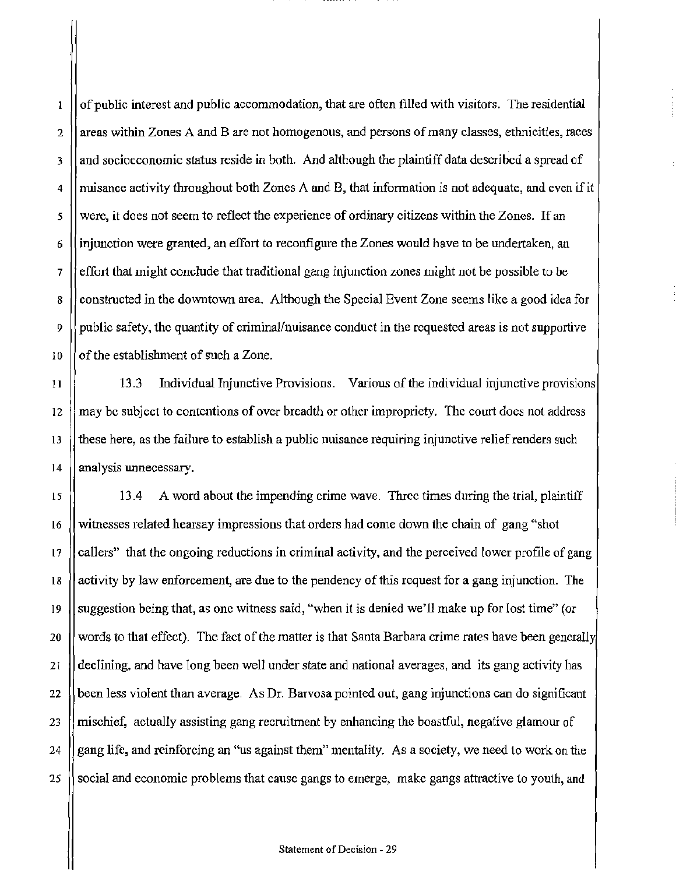of public interest and public accommodation, that are often filled with visitors. The residential  $\mathbf{1}$  $2 \parallel$  areas within Zones A and B are not homogenous, and persons of many classes, ethnicities, races  $3$  || and socioeconomic status reside in both. And although the plaintiff data described a spread of 4 nuisance activity throughout both Zones A and B, that infonnation is not adequate, and even if it *5* were, it does not seem to reflect the experience of ordinary citizens within the Zones. If an 6 | injunction were granted, an effort to reconfigure the Zones would have to be undertaken, an  $7 \text{ }$  [feffort that might conclude that traditional gang injunction zones might not be possible to be 8 Constructed in the downtown area. Although the Special Event Zone seems like a good idea for 9  $\parallel$  public safety, the quantity of criminal/nuisance conduct in the requested areas is not supportive 10  $\vert$  of the establishment of such a Zone.

11 13.3 Individual Injunctive Provisions. Various of the individual injunctive provisions 12 may be subject to contentions of over breadth or other impropriety. The court does not address 13 these here. as the failure to establish a public nuisance requiring injunctive relief renders such 14 | analysis unnecessary.

15 13.4 A word about the impending crime wave. Three times during the trial, plaintiff 16 witnesses related hearsay impressions that orders had come down the chain of gang "shot 17 || callers" that the ongoing reductions in criminal activity, and the perceived lower profile of gang 18 activit)' by law enforcement, are due *to* the pendency of this request for a gang injunction. The 19  $\parallel$  suggestion being that, as one witness said, "when it is denied we'll make up for lost time" (or 20  $\parallel$  words to that effect). The fact of the matter is that Santa Barbara crime rates have been generally 21 declining. and have long been well under state and national averages, and its gang activity has 22  $\theta$  been less violent than average. As Dr. Barvosa pointed out, gang injunctions can do significant 23  $\parallel$  mischief, actually assisting gang recruitment by enhancing the boastful, negative glamour of 24  $\parallel$  gang life, and reinforcing an "us against them" mentality. As a society, we need to work on the 25 Social and economic problems that cause gangs to emerge, make gangs attractive to youth, and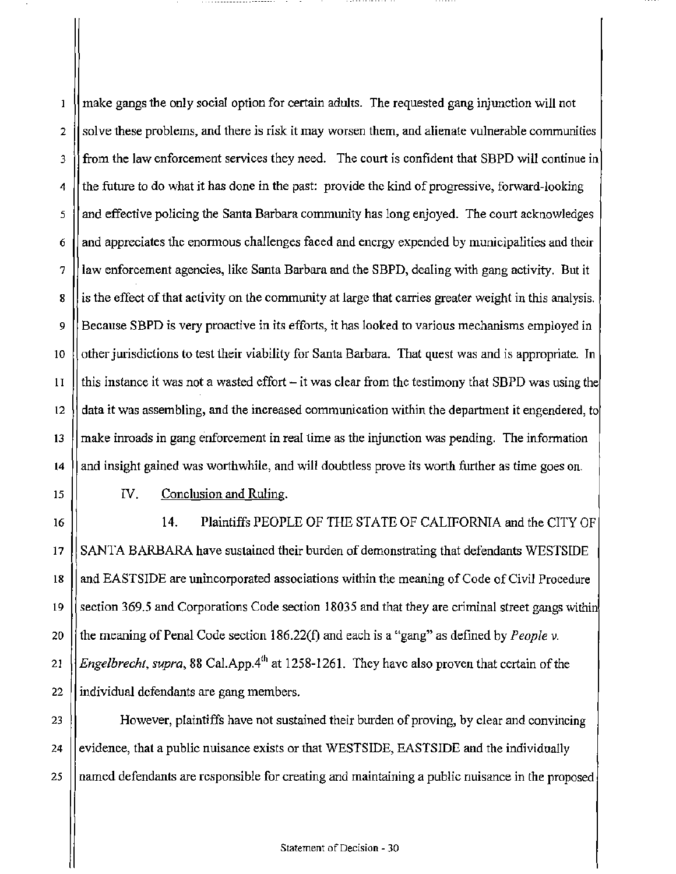$\mathbf{1}$ make gangs the only social option for certain adults. The requested gang injunction will not 2  $\parallel$  solve these problems, and there is risk it may worsen them, and alienate vulnerable communities 3 form the law enforcement services they need. The court is confident that SBPD will continue in  $\frac{4}{1}$  the future to do what it has done in the past: provide the kind of progressive, forward-looking  $5$  || and effective policing the Santa Barbara community has long enjoyed. The court acknowledges  $6 \parallel$  and appreciates the enormous challenges faced and energy expended by municipalities and their 7 law enforcement agencies, like Santa Barbara and the SBPD, dealing with gang activity. But it 8 | is the effect of that activity on the community at large that carries greater weight in this analysis. 9 Because SBPD is very proactive in its efforts, it has looked to various mechanisms employed in 10 | other jurisdictions to test their viability for Santa Barbara. That quest was and is appropriate. In  $11$  || this instance it was not a wasted effort – it was clear from the testimony that SBPD was using the 12  $\parallel$  data it was assembling, and the increased communication within the department it engendered, to 13 make inroads in gang enforcement in real time as the injunction was pending. The information 14 | and insight gained was worthwhile, and will doubtless prove its worth further as time goes on.

15 16

IV. Conclusion and Ruling.

14. Plaintiffs PEOPLE OF THE STATE OF CALIFORNIA and the CITY OF 17 SANTA BARBARA have sustained their burden of demonstrating that defendants WESTSIDE 18 and EASTSIDE are unincorporated associations within the meaning of Code of Civil Procedure 19  $\parallel$  section 369.5 and Corporations Code section 18035 and that they are criminal street gangs within 20 the meaning of Penal Code section 186.22(f) and each is a "gang" as defined by *People v.* 21 *Engelbrecht, supra, 88* Cal.App.<sup>4th</sup> at 1258-1261. They have also proven that certain of the 22 | individual defendants are gang members.

23 However, plaintiffs have not sustained their burden of proving, by clear and convincing 24 evidence, that a public nuisance exists or that WESTSIDE, EASTSIDE and the individually 25 named defendants are responsible for creating and maintaining a public nuisance in the proposed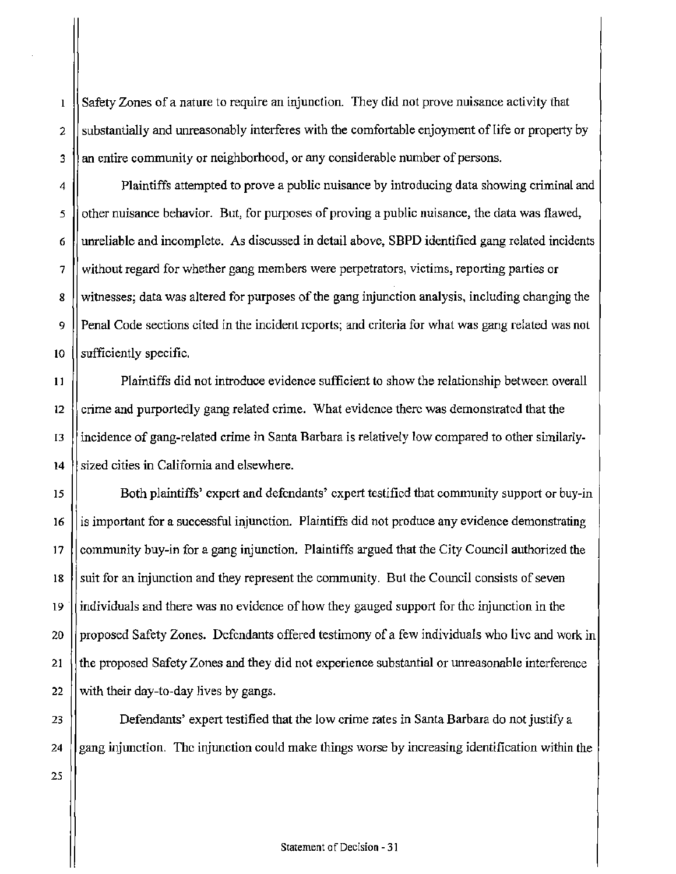Safety Zones of a nature to require an injunction. They did not prove nuisance activity that 2  $\parallel$  substantially and unreasonably interferes with the comfortable enjoyment of life or property by 3 || an entire community or neighborhood, or any considerable number of persons.

4 | Plaintiffs attempted to prove a public nuisance by introducing data showing criminal and  $\frac{1}{5}$  || other nuisance behavior. But, for purposes of proving a public nuisance, the data was flawed, 6 unreliable and incomplete. As discussed in detail above, SBPD identified gang related incidents 7 Without regard for whether gang members were perpetrators, victims, reporting parties or 8 Westminum is a with vertex of the gangular induction analysis, including changing the  $\frac{1}{2}$ 9 Penal Code sections cited in the incident reports; and criteria for what was gang related was not  $10$  || sufficiently specific.

11 Plaintiffs did not introduce evidence sufficient to show the relationship between overall 12  $\parallel$  crime and purportedly gang related crime. What evidence there was demonstrated that the 13 lincidence of gang-related crime in Santa Barbara is relatively low compared to other similarly-14 Sized cities in California and elsewhere.

15 Both plaintiffs' expert and defendants' expert testified that community support or buy-in 16 is important for a successful injunction. Plaintiffs did not produce any evidence demonstrating 17 community buy-in for a gang injunction. Plaintiffs argued that the City Council authorized the 18 Suit for an injunction and they represent the community. But the Council consists of seven 19 individuals and there was no evidence of how they gauged support for the injunction in the 20 proposed Safety Zones. Defendants offered testimony of a few individuals who live and work in 21 the proposed Safety Zones and they did not experience substantial or unreasonable interference 22  $\parallel$  with their day-to-day lives by gangs.

23 Defendants' expert testified that the low crime rates in Santa Barbara do not justify a 24  $\parallel$  gang injunction. The injunction could make things worse by increasing identification within the

25

 $\mathbf{I}$